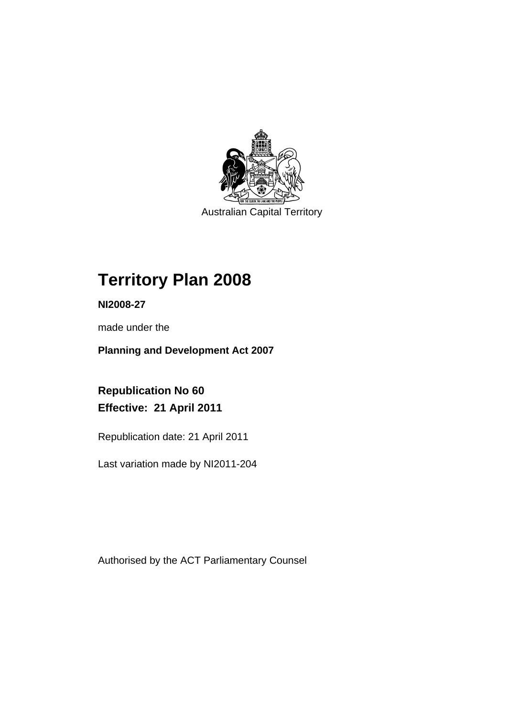

Australian Capital Territory

## **Territory Plan 2008**

**NI2008-27** 

made under the

**Planning and Development Act 2007** 

**Republication No 60 Effective: 21 April 2011** 

Republication date: 21 April 2011

Last variation made by NI2011-204

Authorised by the ACT Parliamentary Counsel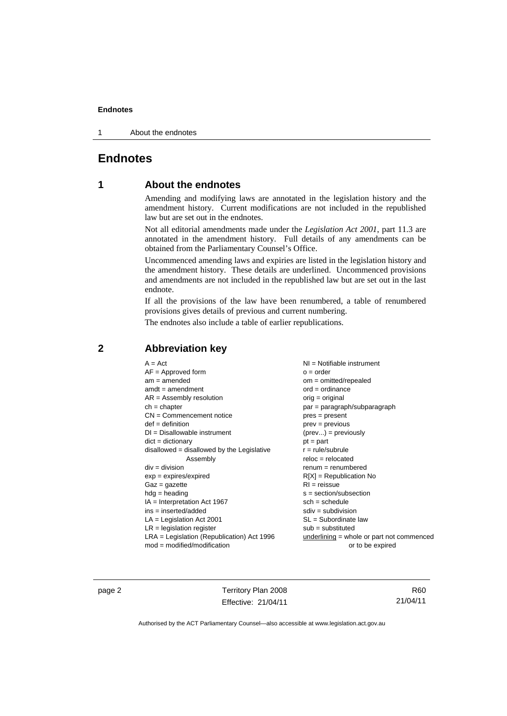1 About the endnotes

## **Endnotes**

## **1 About the endnotes**

Amending and modifying laws are annotated in the legislation history and the amendment history. Current modifications are not included in the republished law but are set out in the endnotes.

Not all editorial amendments made under the *Legislation Act 2001*, part 11.3 are annotated in the amendment history. Full details of any amendments can be obtained from the Parliamentary Counsel's Office.

Uncommenced amending laws and expiries are listed in the legislation history and the amendment history. These details are underlined. Uncommenced provisions and amendments are not included in the republished law but are set out in the last endnote.

If all the provisions of the law have been renumbered, a table of renumbered provisions gives details of previous and current numbering.

The endnotes also include a table of earlier republications.

| $A = Act$                                    | $NI =$ Notifiable instrument                |
|----------------------------------------------|---------------------------------------------|
| $AF =$ Approved form                         | $o = order$                                 |
| $am = amended$                               | $om = omitted/repealed$                     |
| $amdt = amendment$                           | $ord = ordinance$                           |
| $AR = Assembly resolution$                   | orig = original                             |
| $ch = chapter$                               | par = paragraph/subparagraph                |
| $CN =$ Commencement notice                   | $pres = present$                            |
| $def = definition$                           | $prev = previous$                           |
| $DI = Disallowable instrument$               | $(\text{prev}) = \text{previously}$         |
| $dict = dictionary$                          | $pt = part$                                 |
| disallowed = disallowed by the Legislative   | $r = rule/subrule$                          |
| Assembly                                     | $reloc = relocated$                         |
| $div = division$                             | $renum = renumbered$                        |
| $exp = expires/expired$                      | $R[X]$ = Republication No                   |
| $Gaz = gazette$                              | $RI = reissue$                              |
| $hdg = heading$                              | $s = section/subsection$                    |
| $IA = Interpretation Act 1967$               | $sch = schedule$                            |
| $ins = inserted/added$                       | $sdiv = subdivision$                        |
| $LA =$ Legislation Act 2001                  | $SL = Subordinate$ law                      |
| $LR =$ legislation register                  | $sub =$ substituted                         |
| $LRA =$ Legislation (Republication) Act 1996 | underlining $=$ whole or part not commenced |
| $mod = modified/modification$                | or to be expired                            |

## **2 Abbreviation key**

page 2 Territory Plan 2008 Effective: 21/04/11

R60 21/04/11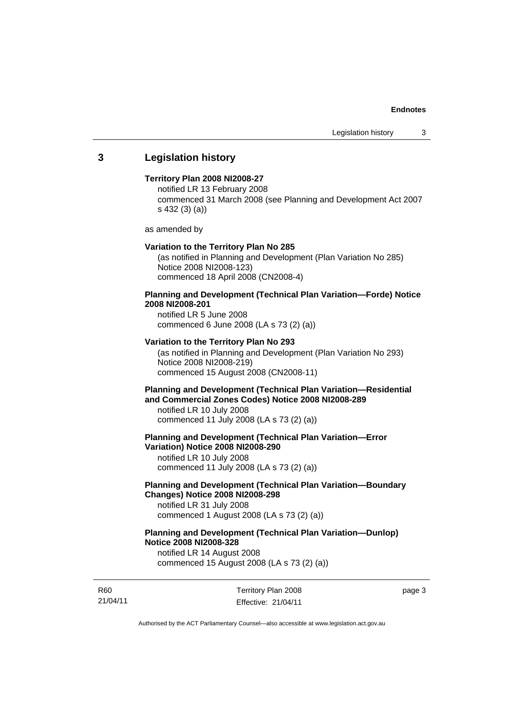## **3 Legislation history**

#### **Territory Plan 2008 NI2008-27**

notified LR 13 February 2008 commenced 31 March 2008 (see Planning and Development Act 2007 s 432 (3) (a))

as amended by

#### **Variation to the Territory Plan No 285**

(as notified in Planning and Development (Plan Variation No 285) Notice 2008 NI2008-123) commenced 18 April 2008 (CN2008-4)

## **Planning and Development (Technical Plan Variation—Forde) Notice 2008 NI2008-201**

notified LR 5 June 2008 commenced 6 June 2008 (LA s 73 (2) (a))

#### **Variation to the Territory Plan No 293**

(as notified in Planning and Development (Plan Variation No 293) Notice 2008 NI2008-219) commenced 15 August 2008 (CN2008-11)

## **Planning and Development (Technical Plan Variation—Residential and Commercial Zones Codes) Notice 2008 NI2008-289**

notified LR 10 July 2008 commenced 11 July 2008 (LA s 73 (2) (a))

**Planning and Development (Technical Plan Variation—Error Variation) Notice 2008 NI2008-290** 

notified LR 10 July 2008 commenced 11 July 2008 (LA s 73 (2) (a))

## **Planning and Development (Technical Plan Variation—Boundary Changes) Notice 2008 NI2008-298**

notified LR 31 July 2008 commenced 1 August 2008 (LA s 73 (2) (a))

## **Planning and Development (Technical Plan Variation—Dunlop) Notice 2008 NI2008-328**

notified LR 14 August 2008 commenced 15 August 2008 (LA s 73 (2) (a))

R60 21/04/11 Territory Plan 2008 Effective: 21/04/11 page 3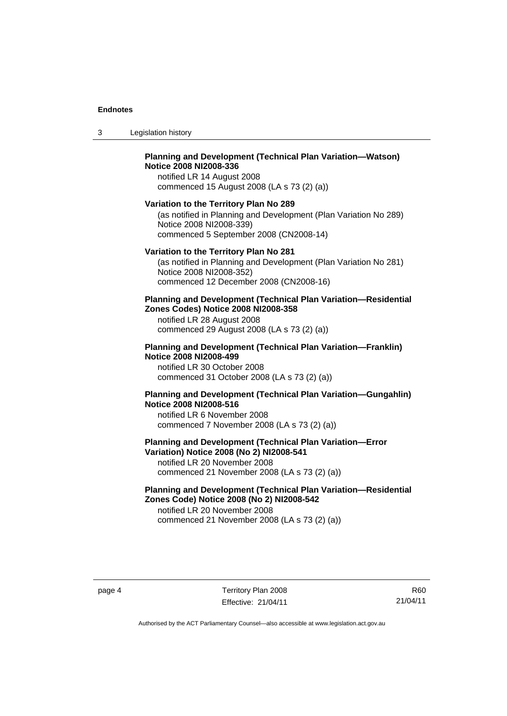| -3 | Legislation history |  |
|----|---------------------|--|
|----|---------------------|--|

## **Planning and Development (Technical Plan Variation—Watson) Notice 2008 NI2008-336**

notified LR 14 August 2008 commenced 15 August 2008 (LA s 73 (2) (a))

#### **Variation to the Territory Plan No 289**

(as notified in Planning and Development (Plan Variation No 289) Notice 2008 NI2008-339) commenced 5 September 2008 (CN2008-14)

#### **Variation to the Territory Plan No 281**

(as notified in Planning and Development (Plan Variation No 281) Notice 2008 NI2008-352) commenced 12 December 2008 (CN2008-16)

#### **Planning and Development (Technical Plan Variation—Residential Zones Codes) Notice 2008 NI2008-358**

notified LR 28 August 2008 commenced 29 August 2008 (LA s 73 (2) (a))

#### **Planning and Development (Technical Plan Variation—Franklin) Notice 2008 NI2008-499**

notified LR 30 October 2008 commenced 31 October 2008 (LA s 73 (2) (a))

## **Planning and Development (Technical Plan Variation—Gungahlin) Notice 2008 NI2008-516**

notified LR 6 November 2008 commenced 7 November 2008 (LA s 73 (2) (a))

## **Planning and Development (Technical Plan Variation—Error Variation) Notice 2008 (No 2) NI2008-541**

notified LR 20 November 2008 commenced 21 November 2008 (LA s 73 (2) (a))

## **Planning and Development (Technical Plan Variation—Residential Zones Code) Notice 2008 (No 2) NI2008-542**

notified LR 20 November 2008 commenced 21 November 2008 (LA s 73 (2) (a))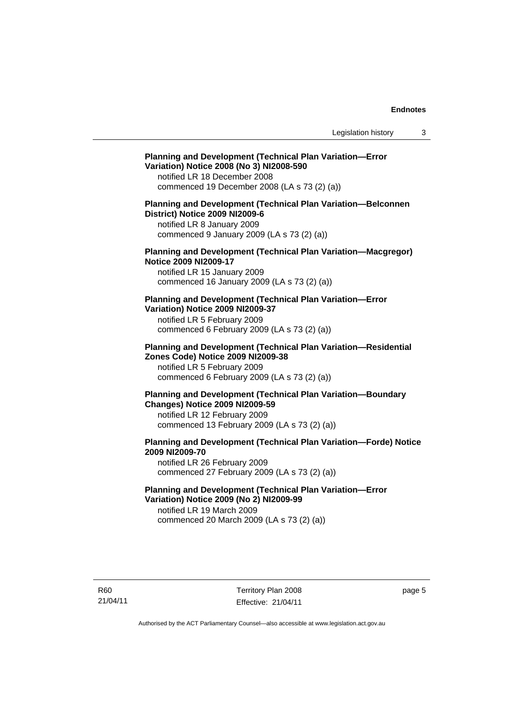#### **Planning and Development (Technical Plan Variation—Error Variation) Notice 2008 (No 3) NI2008-590**

notified LR 18 December 2008 commenced 19 December 2008 (LA s 73 (2) (a))

#### **Planning and Development (Technical Plan Variation—Belconnen District) Notice 2009 NI2009-6**

notified LR 8 January 2009 commenced 9 January 2009 (LA s 73 (2) (a))

#### **Planning and Development (Technical Plan Variation—Macgregor) Notice 2009 NI2009-17**

notified LR 15 January 2009 commenced 16 January 2009 (LA s 73 (2) (a))

#### **Planning and Development (Technical Plan Variation—Error Variation) Notice 2009 NI2009-37**

notified LR 5 February 2009 commenced 6 February 2009 (LA s 73 (2) (a))

#### **Planning and Development (Technical Plan Variation—Residential Zones Code) Notice 2009 NI2009-38**

notified LR 5 February 2009 commenced 6 February 2009 (LA s 73 (2) (a))

## **Planning and Development (Technical Plan Variation—Boundary Changes) Notice 2009 NI2009-59**

notified LR 12 February 2009 commenced 13 February 2009 (LA s 73 (2) (a))

## **Planning and Development (Technical Plan Variation—Forde) Notice 2009 NI2009-70**

notified LR 26 February 2009 commenced 27 February 2009 (LA s 73 (2) (a))

## **Planning and Development (Technical Plan Variation—Error Variation) Notice 2009 (No 2) NI2009-99**

notified LR 19 March 2009 commenced 20 March 2009 (LA s 73 (2) (a))

page 5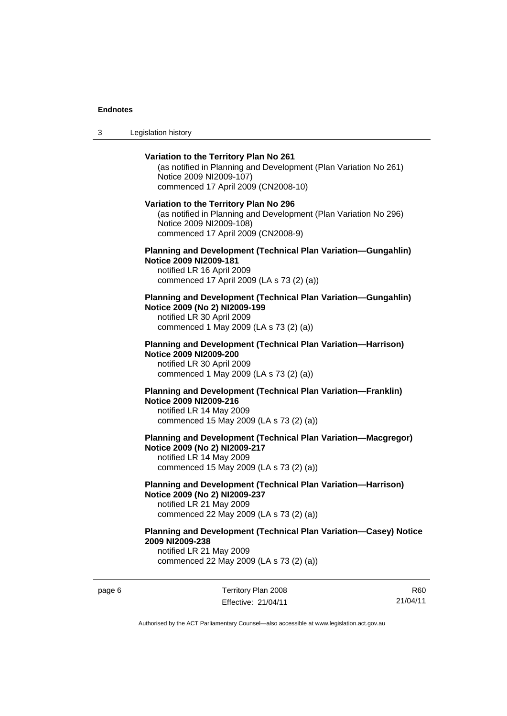3 Legislation history

## **Variation to the Territory Plan No 261**  (as notified in Planning and Development (Plan Variation No 261) Notice 2009 NI2009-107) commenced 17 April 2009 (CN2008-10) **Variation to the Territory Plan No 296**  (as notified in Planning and Development (Plan Variation No 296) Notice 2009 NI2009-108) commenced 17 April 2009 (CN2008-9) **Planning and Development (Technical Plan Variation—Gungahlin) Notice 2009 NI2009-181**  notified LR 16 April 2009 commenced 17 April 2009 (LA s 73 (2) (a)) **Planning and Development (Technical Plan Variation—Gungahlin) Notice 2009 (No 2) NI2009-199**  notified LR 30 April 2009 commenced 1 May 2009 (LA s 73 (2) (a)) **Planning and Development (Technical Plan Variation—Harrison) Notice 2009 NI2009-200**  notified LR 30 April 2009 commenced 1 May 2009 (LA s 73 (2) (a)) **Planning and Development (Technical Plan Variation—Franklin) Notice 2009 NI2009-216**  notified LR 14 May 2009 commenced 15 May 2009 (LA s 73 (2) (a)) **Planning and Development (Technical Plan Variation—Macgregor) Notice 2009 (No 2) NI2009-217**  notified LR 14 May 2009 commenced 15 May 2009 (LA s 73 (2) (a)) **Planning and Development (Technical Plan Variation—Harrison) Notice 2009 (No 2) NI2009-237**  notified LR 21 May 2009 commenced 22 May 2009 (LA s 73 (2) (a)) **Planning and Development (Technical Plan Variation—Casey) Notice 2009 NI2009-238**

notified LR 21 May 2009 commenced 22 May 2009 (LA s 73 (2) (a))

page 6 Territory Plan 2008 Effective: 21/04/11

R60 21/04/11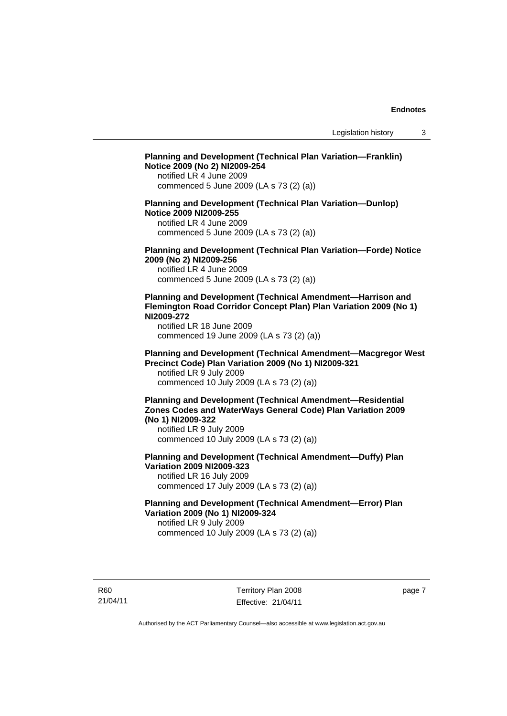## **Planning and Development (Technical Plan Variation—Franklin) Notice 2009 (No 2) NI2009-254**  notified LR 4 June 2009 commenced 5 June 2009 (LA s 73 (2) (a)) **Planning and Development (Technical Plan Variation—Dunlop) Notice 2009 NI2009-255**  notified LR 4 June 2009 commenced 5 June 2009 (LA s 73 (2) (a)) **Planning and Development (Technical Plan Variation—Forde) Notice 2009 (No 2) NI2009-256**  notified LR 4 June 2009 commenced 5 June 2009 (LA s 73 (2) (a)) **Planning and Development (Technical Amendment—Harrison and Flemington Road Corridor Concept Plan) Plan Variation 2009 (No 1) NI2009-272**  notified LR 18 June 2009 commenced 19 June 2009 (LA s 73 (2) (a)) **Planning and Development (Technical Amendment—Macgregor West Precinct Code) Plan Variation 2009 (No 1) NI2009-321**  notified LR 9 July 2009 commenced 10 July 2009 (LA s 73 (2) (a)) **Planning and Development (Technical Amendment—Residential Zones Codes and WaterWays General Code) Plan Variation 2009 (No 1) NI2009-322**  notified LR 9 July 2009 commenced 10 July 2009 (LA s 73 (2) (a)) **Planning and Development (Technical Amendment—Duffy) Plan Variation 2009 NI2009-323**  notified LR 16 July 2009 commenced 17 July 2009 (LA s 73 (2) (a)) **Planning and Development (Technical Amendment—Error) Plan Variation 2009 (No 1) NI2009-324**  notified LR 9 July 2009 commenced 10 July 2009 (LA s 73 (2) (a))

R60 21/04/11 page 7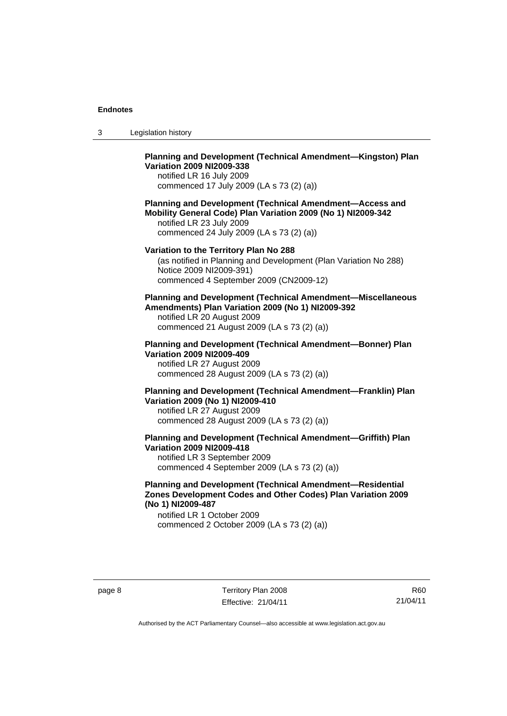| -3 | Legislation history |  |
|----|---------------------|--|
|----|---------------------|--|

## **Planning and Development (Technical Amendment—Kingston) Plan Variation 2009 NI2009-338**

notified LR 16 July 2009 commenced 17 July 2009 (LA s 73 (2) (a))

## **Planning and Development (Technical Amendment—Access and Mobility General Code) Plan Variation 2009 (No 1) NI2009-342**

notified LR 23 July 2009 commenced 24 July 2009 (LA s 73 (2) (a))

## **Variation to the Territory Plan No 288**

(as notified in Planning and Development (Plan Variation No 288) Notice 2009 NI2009-391) commenced 4 September 2009 (CN2009-12)

## **Planning and Development (Technical Amendment—Miscellaneous Amendments) Plan Variation 2009 (No 1) NI2009-392**

notified LR 20 August 2009 commenced 21 August 2009 (LA s 73 (2) (a))

## **Planning and Development (Technical Amendment—Bonner) Plan Variation 2009 NI2009-409**

notified LR 27 August 2009 commenced 28 August 2009 (LA s 73 (2) (a))

## **Planning and Development (Technical Amendment—Franklin) Plan Variation 2009 (No 1) NI2009-410**  notified LR 27 August 2009

commenced 28 August 2009 (LA s 73 (2) (a))

#### **Planning and Development (Technical Amendment—Griffith) Plan Variation 2009 NI2009-418**  notified LR 3 September 2009

commenced 4 September 2009 (LA s 73 (2) (a))

### **Planning and Development (Technical Amendment—Residential Zones Development Codes and Other Codes) Plan Variation 2009 (No 1) NI2009-487**

notified LR 1 October 2009 commenced 2 October 2009 (LA s 73 (2) (a))

R60 21/04/11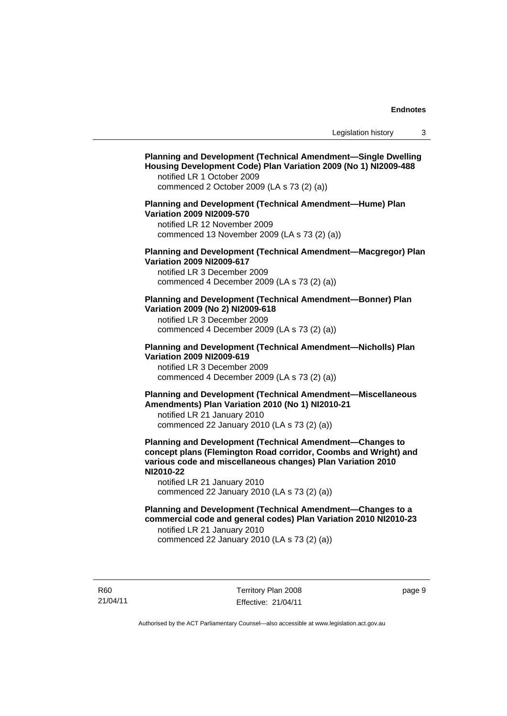## **Planning and Development (Technical Amendment—Single Dwelling Housing Development Code) Plan Variation 2009 (No 1) NI2009-488**  notified LR 1 October 2009 commenced 2 October 2009 (LA s 73 (2) (a)) **Planning and Development (Technical Amendment—Hume) Plan Variation 2009 NI2009-570**  notified LR 12 November 2009 commenced 13 November 2009 (LA s 73 (2) (a)) **Planning and Development (Technical Amendment—Macgregor) Plan Variation 2009 NI2009-617**  notified LR 3 December 2009 commenced 4 December 2009 (LA s 73 (2) (a)) **Planning and Development (Technical Amendment—Bonner) Plan Variation 2009 (No 2) NI2009-618**  notified LR 3 December 2009 commenced 4 December 2009 (LA s 73 (2) (a)) **Planning and Development (Technical Amendment—Nicholls) Plan Variation 2009 NI2009-619**  notified LR 3 December 2009 commenced 4 December 2009 (LA s 73 (2) (a)) **Planning and Development (Technical Amendment—Miscellaneous Amendments) Plan Variation 2010 (No 1) NI2010-21**  notified LR 21 January 2010 commenced 22 January 2010 (LA s 73 (2) (a)) **Planning and Development (Technical Amendment—Changes to concept plans (Flemington Road corridor, Coombs and Wright) and various code and miscellaneous changes) Plan Variation 2010 NI2010-22**  notified LR 21 January 2010 commenced 22 January 2010 (LA s 73 (2) (a)) **Planning and Development (Technical Amendment—Changes to a commercial code and general codes) Plan Variation 2010 NI2010-23**  notified LR 21 January 2010 commenced 22 January 2010 (LA s 73 (2) (a))

R60 21/04/11 Territory Plan 2008 Effective: 21/04/11 page 9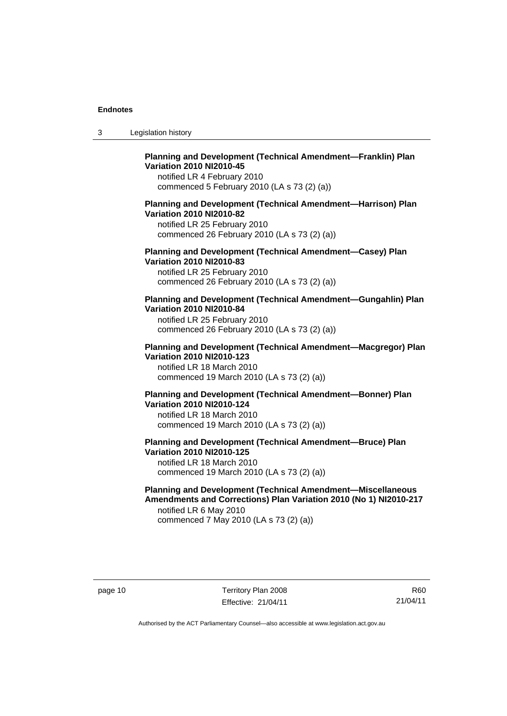| -3 | Legislation history |
|----|---------------------|
|----|---------------------|

## **Planning and Development (Technical Amendment—Franklin) Plan Variation 2010 NI2010-45**

notified LR 4 February 2010 commenced 5 February 2010 (LA s 73 (2) (a))

### **Planning and Development (Technical Amendment—Harrison) Plan Variation 2010 NI2010-82**

notified LR 25 February 2010 commenced 26 February 2010 (LA s 73 (2) (a))

## **Planning and Development (Technical Amendment—Casey) Plan Variation 2010 NI2010-83**

notified LR 25 February 2010 commenced 26 February 2010 (LA s 73 (2) (a))

#### **Planning and Development (Technical Amendment—Gungahlin) Plan Variation 2010 NI2010-84**

notified LR 25 February 2010 commenced 26 February 2010 (LA s 73 (2) (a))

#### **Planning and Development (Technical Amendment—Macgregor) Plan Variation 2010 NI2010-123**

notified LR 18 March 2010 commenced 19 March 2010 (LA s 73 (2) (a))

### **Planning and Development (Technical Amendment—Bonner) Plan Variation 2010 NI2010-124**

notified LR 18 March 2010 commenced 19 March 2010 (LA s 73 (2) (a))

## **Planning and Development (Technical Amendment—Bruce) Plan Variation 2010 NI2010-125**  notified LR 18 March 2010

commenced 19 March 2010 (LA s 73 (2) (a))

#### **Planning and Development (Technical Amendment—Miscellaneous Amendments and Corrections) Plan Variation 2010 (No 1) NI2010-217**  notified LR 6 May 2010

commenced 7 May 2010 (LA s 73 (2) (a))

R60 21/04/11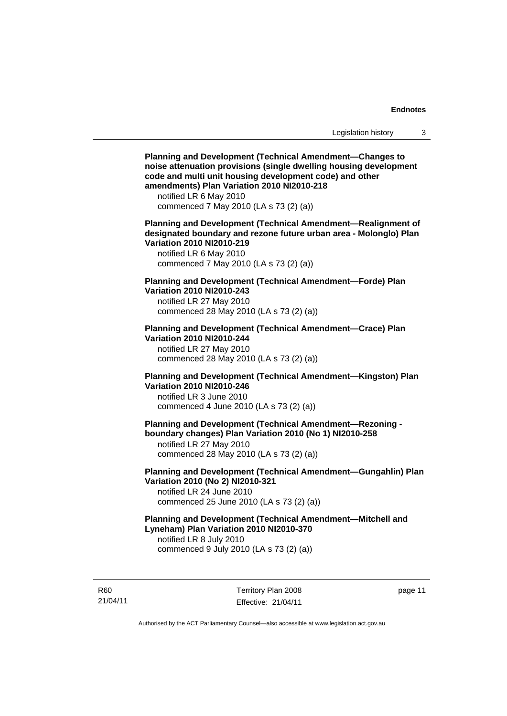**Planning and Development (Technical Amendment—Changes to noise attenuation provisions (single dwelling housing development code and multi unit housing development code) and other amendments) Plan Variation 2010 NI2010-218**  notified LR 6 May 2010 commenced 7 May 2010 (LA s 73 (2) (a)) **Planning and Development (Technical Amendment—Realignment of designated boundary and rezone future urban area - Molonglo) Plan Variation 2010 NI2010-219**  notified LR 6 May 2010 commenced 7 May 2010 (LA s 73 (2) (a)) **Planning and Development (Technical Amendment—Forde) Plan Variation 2010 NI2010-243**  notified LR 27 May 2010 commenced 28 May 2010 (LA s 73 (2) (a)) **Planning and Development (Technical Amendment—Crace) Plan Variation 2010 NI2010-244**  notified LR 27 May 2010 commenced 28 May 2010 (LA s 73 (2) (a)) **Planning and Development (Technical Amendment—Kingston) Plan Variation 2010 NI2010-246**  notified LR 3 June 2010 commenced 4 June 2010 (LA s 73 (2) (a)) **Planning and Development (Technical Amendment—Rezoning boundary changes) Plan Variation 2010 (No 1) NI2010-258**  notified LR 27 May 2010 commenced 28 May 2010 (LA s 73 (2) (a)) **Planning and Development (Technical Amendment—Gungahlin) Plan Variation 2010 (No 2) NI2010-321**  notified LR 24 June 2010 commenced 25 June 2010 (LA s 73 (2) (a)) **Planning and Development (Technical Amendment—Mitchell and Lyneham) Plan Variation 2010 NI2010-370**  notified LR 8 July 2010 commenced 9 July 2010 (LA s 73 (2) (a))

R60 21/04/11 Territory Plan 2008 Effective: 21/04/11 page 11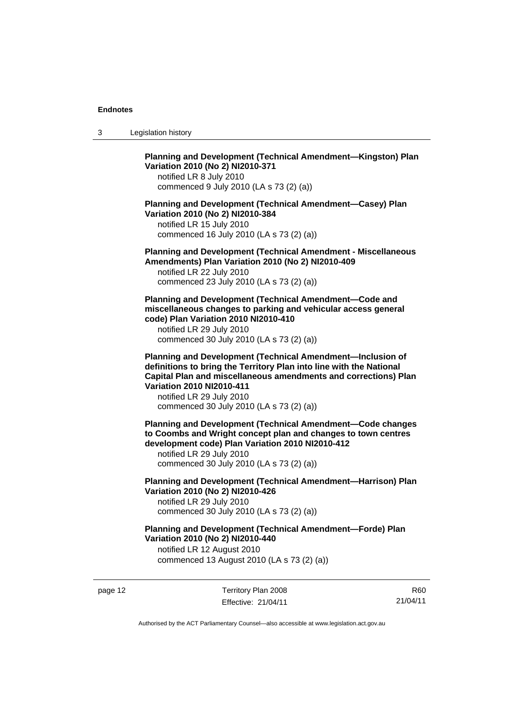3 Legislation history

**Planning and Development (Technical Amendment—Kingston) Plan Variation 2010 (No 2) NI2010-371** 

notified LR 8 July 2010 commenced 9 July 2010 (LA s 73 (2) (a))

**Planning and Development (Technical Amendment—Casey) Plan Variation 2010 (No 2) NI2010-384** 

notified LR 15 July 2010 commenced 16 July 2010 (LA s 73 (2) (a))

**Planning and Development (Technical Amendment - Miscellaneous Amendments) Plan Variation 2010 (No 2) NI2010-409** 

notified LR 22 July 2010 commenced 23 July 2010 (LA s 73 (2) (a))

**Planning and Development (Technical Amendment—Code and miscellaneous changes to parking and vehicular access general code) Plan Variation 2010 NI2010-410** 

notified LR 29 July 2010 commenced 30 July 2010 (LA s 73 (2) (a))

**Planning and Development (Technical Amendment—Inclusion of definitions to bring the Territory Plan into line with the National Capital Plan and miscellaneous amendments and corrections) Plan Variation 2010 NI2010-411** 

notified LR 29 July 2010 commenced 30 July 2010 (LA s 73 (2) (a))

**Planning and Development (Technical Amendment—Code changes to Coombs and Wright concept plan and changes to town centres development code) Plan Variation 2010 NI2010-412** 

notified LR 29 July 2010 commenced 30 July 2010 (LA s 73 (2) (a))

**Planning and Development (Technical Amendment—Harrison) Plan Variation 2010 (No 2) NI2010-426**  notified LR 29 July 2010

commenced 30 July 2010 (LA s 73 (2) (a))

**Planning and Development (Technical Amendment—Forde) Plan Variation 2010 (No 2) NI2010-440**  notified LR 12 August 2010

commenced 13 August 2010 (LA s 73 (2) (a))

page 12 Territory Plan 2008 Effective: 21/04/11

R60 21/04/11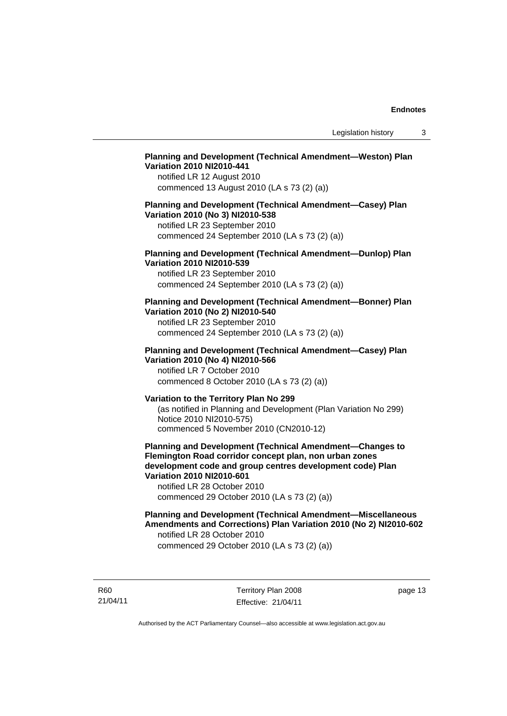## **Planning and Development (Technical Amendment—Weston) Plan Variation 2010 NI2010-441**

notified LR 12 August 2010 commenced 13 August 2010 (LA s 73 (2) (a))

#### **Planning and Development (Technical Amendment—Casey) Plan Variation 2010 (No 3) NI2010-538**

notified LR 23 September 2010 commenced 24 September 2010 (LA s 73 (2) (a))

#### **Planning and Development (Technical Amendment—Dunlop) Plan Variation 2010 NI2010-539**

notified LR 23 September 2010 commenced 24 September 2010 (LA s 73 (2) (a))

### **Planning and Development (Technical Amendment—Bonner) Plan Variation 2010 (No 2) NI2010-540**

notified LR 23 September 2010 commenced 24 September 2010 (LA s 73 (2) (a))

## **Planning and Development (Technical Amendment—Casey) Plan Variation 2010 (No 4) NI2010-566**

notified LR 7 October 2010 commenced 8 October 2010 (LA s 73 (2) (a))

## **Variation to the Territory Plan No 299**

(as notified in Planning and Development (Plan Variation No 299) Notice 2010 NI2010-575) commenced 5 November 2010 (CN2010-12)

**Planning and Development (Technical Amendment—Changes to Flemington Road corridor concept plan, non urban zones development code and group centres development code) Plan Variation 2010 NI2010-601** 

notified LR 28 October 2010 commenced 29 October 2010 (LA s 73 (2) (a))

#### **Planning and Development (Technical Amendment—Miscellaneous Amendments and Corrections) Plan Variation 2010 (No 2) NI2010-602**  notified LR 28 October 2010

commenced 29 October 2010 (LA s 73 (2) (a))

R60 21/04/11 Territory Plan 2008 Effective: 21/04/11 page 13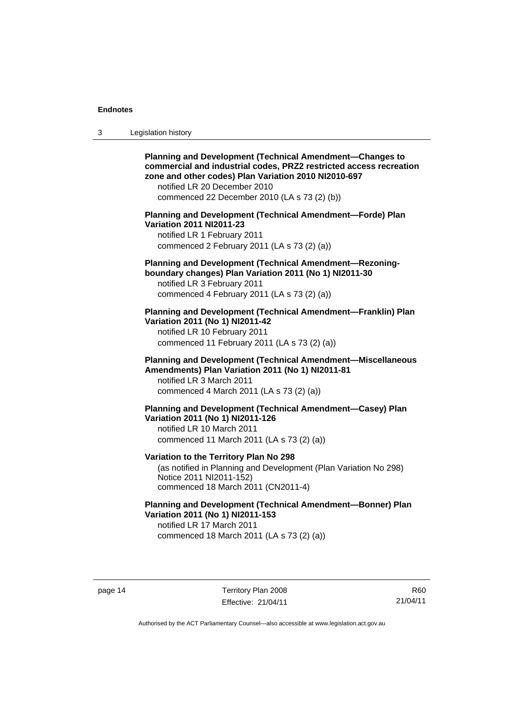| -3 | Legislation history |  |
|----|---------------------|--|
|----|---------------------|--|

| <b>Planning and Development (Technical Amendment-Changes to</b><br>commercial and industrial codes, PRZ2 restricted access recreation<br>zone and other codes) Plan Variation 2010 NI2010-697<br>notified LR 20 December 2010<br>commenced 22 December 2010 (LA s 73 (2) (b)) |
|-------------------------------------------------------------------------------------------------------------------------------------------------------------------------------------------------------------------------------------------------------------------------------|
| Planning and Development (Technical Amendment-Forde) Plan<br><b>Variation 2011 NI2011-23</b><br>notified LR 1 February 2011<br>commenced 2 February 2011 (LA s 73 (2) (a))                                                                                                    |
| Planning and Development (Technical Amendment-Rezoning-<br>boundary changes) Plan Variation 2011 (No 1) NI2011-30<br>notified LR 3 February 2011<br>commenced 4 February 2011 (LA s 73 (2) (a))                                                                               |
| Planning and Development (Technical Amendment-Franklin) Plan<br>Variation 2011 (No 1) NI2011-42<br>notified LR 10 February 2011<br>commenced 11 February 2011 (LA s 73 (2) (a))                                                                                               |
| Planning and Development (Technical Amendment-Miscellaneous<br>Amendments) Plan Variation 2011 (No 1) NI2011-81<br>notified LR 3 March 2011<br>commenced 4 March 2011 (LA s 73 (2) (a))                                                                                       |
| Planning and Development (Technical Amendment-Casey) Plan<br>Variation 2011 (No 1) NI2011-126<br>notified LR 10 March 2011<br>commenced 11 March 2011 (LA s 73 (2) (a))                                                                                                       |
| Variation to the Territory Plan No 298<br>(as notified in Planning and Development (Plan Variation No 298)<br>Notice 2011 NI2011-152)<br>commenced 18 March 2011 (CN2011-4)                                                                                                   |
| <b>Planning and Development (Technical Amendment-Bonner) Plan</b><br>Variation 2011 (No 1) NI2011-153<br>notified LR 17 March 2011<br>commenced 18 March 2011 (LA s 73 (2) (a))                                                                                               |

page 14 Territory Plan 2008 Effective: 21/04/11

R60 21/04/11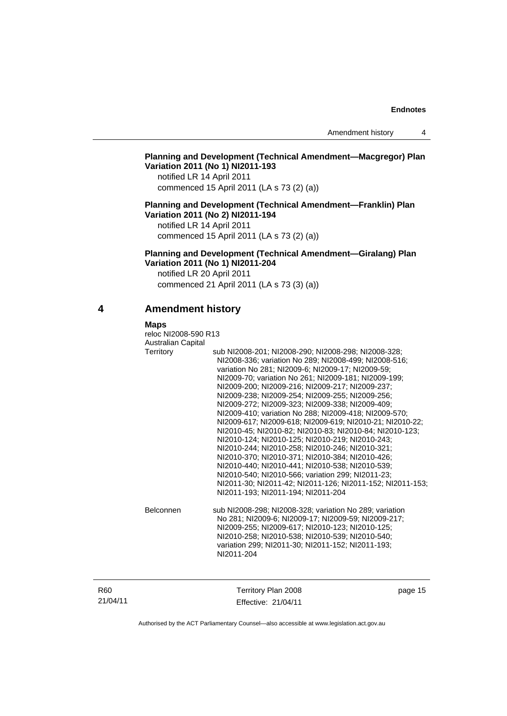## **Planning and Development (Technical Amendment—Macgregor) Plan Variation 2011 (No 1) NI2011-193**

notified LR 14 April 2011 commenced 15 April 2011 (LA s 73 (2) (a))

#### **Planning and Development (Technical Amendment—Franklin) Plan Variation 2011 (No 2) NI2011-194**

notified LR 14 April 2011 commenced 15 April 2011 (LA s 73 (2) (a))

**Planning and Development (Technical Amendment—Giralang) Plan Variation 2011 (No 1) NI2011-204** 

notified LR 20 April 2011 commenced 21 April 2011 (LA s 73 (3) (a))

## **4 Amendment history**

 **Maps** 

| reloc NI2008-590 R13      |                                                           |  |
|---------------------------|-----------------------------------------------------------|--|
| <b>Australian Capital</b> |                                                           |  |
| Territory                 | sub NI2008-201; NI2008-290; NI2008-298; NI2008-328;       |  |
|                           | NI2008-336; variation No 289; NI2008-499; NI2008-516;     |  |
|                           | variation No 281; NI2009-6; NI2009-17; NI2009-59;         |  |
|                           | NI2009-70; variation No 261; NI2009-181; NI2009-199;      |  |
|                           | NI2009-200; NI2009-216; NI2009-217; NI2009-237;           |  |
|                           | NI2009-238; NI2009-254; NI2009-255; NI2009-256;           |  |
|                           | NI2009-272; NI2009-323; NI2009-338; NI2009-409;           |  |
|                           | NI2009-410; variation No 288; NI2009-418; NI2009-570;     |  |
|                           | NI2009-617; NI2009-618; NI2009-619; NI2010-21; NI2010-22; |  |
|                           | NI2010-45: NI2010-82: NI2010-83: NI2010-84: NI2010-123:   |  |
|                           | NI2010-124; NI2010-125; NI2010-219; NI2010-243;           |  |
|                           | NI2010-244; NI2010-258; NI2010-246; NI2010-321;           |  |
|                           | NI2010-370; NI2010-371; NI2010-384; NI2010-426;           |  |
|                           | NI2010-440; NI2010-441; NI2010-538; NI2010-539;           |  |
|                           | NI2010-540; NI2010-566; variation 299; NI2011-23;         |  |
|                           | NI2011-30; NI2011-42; NI2011-126; NI2011-152; NI2011-153; |  |
|                           | NI2011-193; NI2011-194; NI2011-204                        |  |
| <b>Belconnen</b>          | sub NI2008-298; NI2008-328; variation No 289; variation   |  |
|                           | No 281; NI2009-6; NI2009-17; NI2009-59; NI2009-217;       |  |
|                           | NI2009-255; NI2009-617; NI2010-123; NI2010-125;           |  |
|                           | NI2010-258; NI2010-538; NI2010-539; NI2010-540;           |  |
|                           | variation 299; NI2011-30; NI2011-152; NI2011-193;         |  |
|                           | NI2011-204                                                |  |
|                           |                                                           |  |

| R60      |  |
|----------|--|
| 21/04/11 |  |

Territory Plan 2008 Effective: 21/04/11 page 15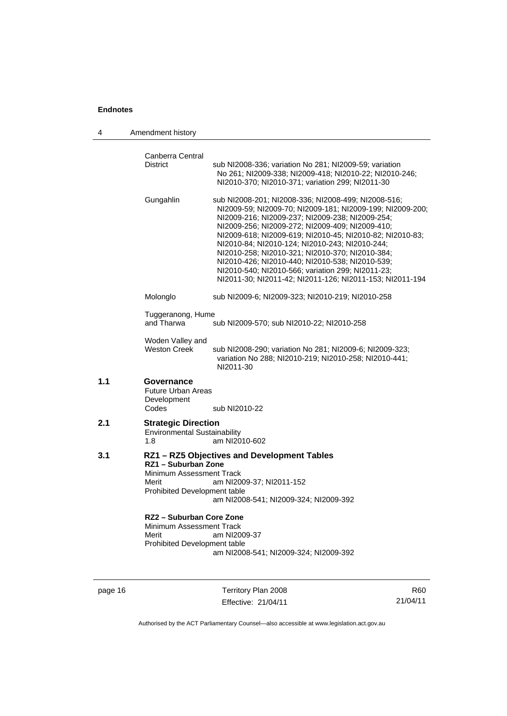| 4   | Amendment history                                                                                                                                                                                                                                                                                                                                                                                                                                                                                                                                                        |
|-----|--------------------------------------------------------------------------------------------------------------------------------------------------------------------------------------------------------------------------------------------------------------------------------------------------------------------------------------------------------------------------------------------------------------------------------------------------------------------------------------------------------------------------------------------------------------------------|
|     | Canberra Central<br><b>District</b><br>sub NI2008-336; variation No 281; NI2009-59; variation<br>No 261; NI2009-338; NI2009-418; NI2010-22; NI2010-246;<br>NI2010-370; NI2010-371; variation 299; NI2011-30                                                                                                                                                                                                                                                                                                                                                              |
|     | Gungahlin<br>sub NI2008-201; NI2008-336; NI2008-499; NI2008-516;<br>NI2009-59; NI2009-70; NI2009-181; NI2009-199; NI2009-200;<br>NI2009-216; NI2009-237; NI2009-238; NI2009-254;<br>NI2009-256; NI2009-272; NI2009-409; NI2009-410;<br>NI2009-618; NI2009-619; NI2010-45; NI2010-82; NI2010-83;<br>NI2010-84; NI2010-124; NI2010-243; NI2010-244;<br>NI2010-258; NI2010-321; NI2010-370; NI2010-384;<br>NI2010-426; NI2010-440; NI2010-538; NI2010-539;<br>NI2010-540; NI2010-566; variation 299; NI2011-23;<br>NI2011-30; NI2011-42; NI2011-126; NI2011-153; NI2011-194 |
|     | Molonglo<br>sub NI2009-6; NI2009-323; NI2010-219; NI2010-258                                                                                                                                                                                                                                                                                                                                                                                                                                                                                                             |
|     | Tuggeranong, Hume<br>and Tharwa<br>sub NI2009-570; sub NI2010-22; NI2010-258                                                                                                                                                                                                                                                                                                                                                                                                                                                                                             |
|     | Woden Valley and<br><b>Weston Creek</b><br>sub NI2008-290; variation No 281; NI2009-6; NI2009-323;<br>variation No 288; NI2010-219; NI2010-258; NI2010-441;<br>NI2011-30                                                                                                                                                                                                                                                                                                                                                                                                 |
| 1.1 | Governance<br><b>Future Urban Areas</b><br>Development<br>Codes<br>sub NI2010-22                                                                                                                                                                                                                                                                                                                                                                                                                                                                                         |
| 2.1 | <b>Strategic Direction</b><br><b>Environmental Sustainability</b><br>am NI2010-602<br>1.8                                                                                                                                                                                                                                                                                                                                                                                                                                                                                |
| 3.1 | RZ1 - RZ5 Objectives and Development Tables<br>RZ1 - Suburban Zone<br>Minimum Assessment Track<br>Merit<br>am NI2009-37; NI2011-152<br><b>Prohibited Development table</b><br>am NI2008-541; NI2009-324; NI2009-392                                                                                                                                                                                                                                                                                                                                                      |
|     | RZ2 - Suburban Core Zone<br>Minimum Assessment Track<br>Merit<br>am NI2009-37<br>Prohibited Development table<br>am NI2008-541; NI2009-324; NI2009-392                                                                                                                                                                                                                                                                                                                                                                                                                   |

page 16 Territory Plan 2008 Effective: 21/04/11

R60 21/04/11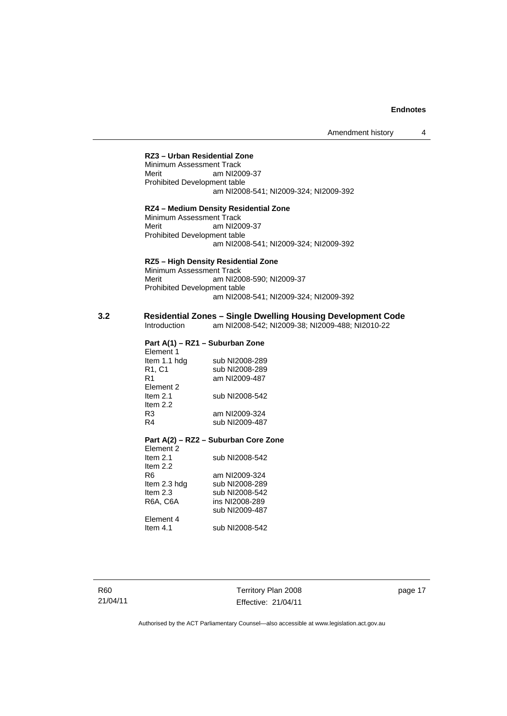#### **RZ3 – Urban Residential Zone**

Minimum Assessment Track Merit am NI2009-37 Prohibited Development table am NI2008-541; NI2009-324; NI2009-392

#### **RZ4 – Medium Density Residential Zone**

Minimum Assessment Track Merit am NI2009-37 Prohibited Development table am NI2008-541; NI2009-324; NI2009-392

#### **RZ5 – High Density Residential Zone**

Minimum Assessment Track Merit am NI2008-590; NI2009-37 Prohibited Development table am NI2008-541; NI2009-324; NI2009-392

## **3.2 Residential Zones – Single Dwelling Housing Development Code**

am NI2008-542; NI2009-38; NI2009-488; NI2010-22

## **Part A(1) – RZ1 – Suburban Zone**  Element 1<br>Item 1.1 hdg

sub NI2008-289 R1, C1 sub NI2008-289<br>R1 am NI2009-487 am NI2009-487 Element 2<br>Item 2.1 sub NI2008-542 Item  $2.2$ <br>R $3$ R3 am NI2009-324<br>R4 sub NI2009-487 sub NI2009-487

#### **Part A(2) – RZ2 – Suburban Core Zone**

| Flement 2       |                |
|-----------------|----------------|
| Item $2.1$      | sub NI2008-542 |
| Item $2.2$      |                |
| R6              | am NI2009-324  |
| Item 2.3 hdg    | sub NI2008-289 |
| Item $2.3$      | sub NI2008-542 |
| <b>R6A, C6A</b> | ins NI2008-289 |
|                 | sub NI2009-487 |
| Element 4       |                |
| Item $4.1$      | sub NI2008-542 |
|                 |                |

R60 21/04/11 Territory Plan 2008 Effective: 21/04/11 page 17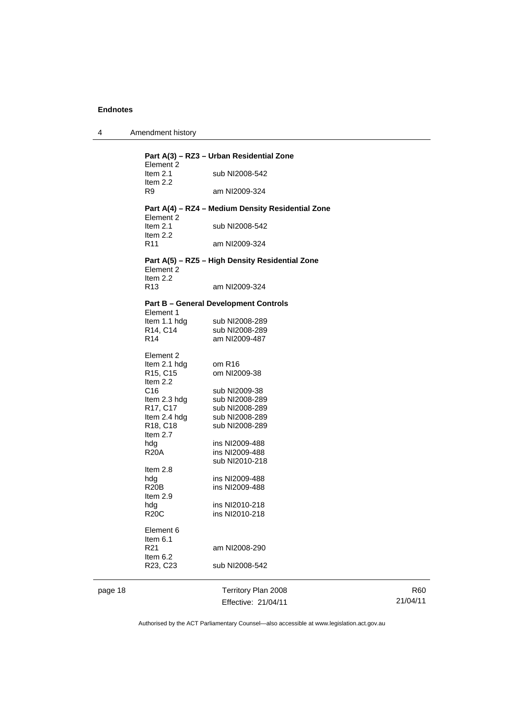4 Amendment history

| Part A(3) – RZ3 – Urban Residential Zone |                                                   |  |
|------------------------------------------|---------------------------------------------------|--|
| Element 2                                |                                                   |  |
| Item 2.1<br>Item $2.2$                   | sub NI2008-542                                    |  |
| R9                                       | am NI2009-324                                     |  |
|                                          | Part A(4) - RZ4 - Medium Density Residential Zone |  |
| Element 2<br>Item $2.1$<br>Item $2.2$    | sub NI2008-542                                    |  |
| R <sub>11</sub>                          | am NI2009-324                                     |  |
| Element 2<br>Item $2.2$                  | Part A(5) – RZ5 – High Density Residential Zone   |  |
| R <sub>13</sub>                          | am NI2009-324                                     |  |
|                                          | <b>Part B - General Development Controls</b>      |  |
| Element 1                                |                                                   |  |
| Item 1.1 hdg                             | sub NI2008-289                                    |  |
| R14, C14<br>R <sub>14</sub>              | sub NI2008-289                                    |  |
|                                          | am NI2009-487                                     |  |
| Element 2                                |                                                   |  |
| Item 2.1 hdg                             | om R <sub>16</sub>                                |  |
| R <sub>15</sub> , C <sub>15</sub>        | om NI2009-38                                      |  |
| Item 2.2                                 |                                                   |  |
| C16                                      | sub NI2009-38                                     |  |
| Item 2.3 hdg                             | sub NI2008-289                                    |  |
| R17, C17                                 | sub NI2008-289                                    |  |
| Item 2.4 hdg                             | sub NI2008-289                                    |  |
| R18, C18                                 | sub NI2008-289                                    |  |
| Item $2.7$                               |                                                   |  |
| hdg                                      | ins NI2009-488                                    |  |
| <b>R20A</b>                              | ins NI2009-488                                    |  |
|                                          | sub NI2010-218                                    |  |
| Item 2.8                                 |                                                   |  |
| hdg                                      | ins NI2009-488                                    |  |
| <b>R20B</b>                              | ins NI2009-488                                    |  |
| Item $2.9$                               |                                                   |  |
| hdg                                      | ins NI2010-218                                    |  |
| <b>R20C</b>                              | ins NI2010-218                                    |  |
| Element 6                                |                                                   |  |
| Item 6.1                                 |                                                   |  |
| R <sub>21</sub>                          | am NI2008-290                                     |  |
| Item 6.2<br>R23, C23                     | sub NI2008-542                                    |  |
|                                          |                                                   |  |

page 18 Territory Plan 2008 Effective: 21/04/11

R60 21/04/11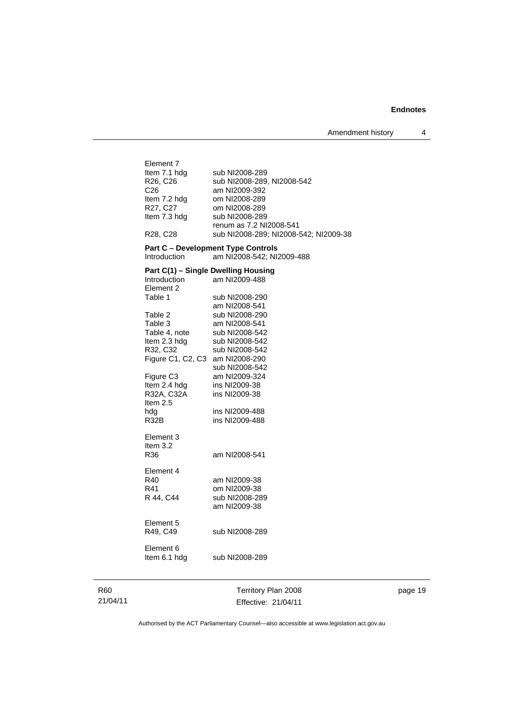| Element 7<br>Item 7.1 hdg<br>R26, C26<br>C <sub>26</sub><br>Item 7.2 hdg<br>R27, C27<br>Item 7.3 hdg<br>R <sub>28</sub> , C <sub>28</sub>                                                                                                                                           | sub NI2008-289<br>sub NI2008-289, NI2008-542<br>am NI2009-392<br>om NI2008-289<br>om NI2008-289<br>sub NI2008-289<br>renum as 7.2 NI2008-541<br>sub NI2008-289; NI2008-542; NI2009-38                                                              |
|-------------------------------------------------------------------------------------------------------------------------------------------------------------------------------------------------------------------------------------------------------------------------------------|----------------------------------------------------------------------------------------------------------------------------------------------------------------------------------------------------------------------------------------------------|
| Introduction                                                                                                                                                                                                                                                                        | <b>Part C - Development Type Controls</b><br>am NI2008-542; NI2009-488                                                                                                                                                                             |
| Part C(1) - Single Dwelling Housing<br><b>Introduction</b><br>Element 2<br>Table 1<br>Table 2<br>Table 3<br>Table 4, note<br>Item 2.3 hdg<br>R32, C32<br>Figure C1, C2, C3 am NI2008-290<br>Figure C <sub>3</sub><br>Item 2.4 hdg<br>R32A, C32A<br>Item $2.5$<br>hdg<br><b>R32B</b> | am NI2009-488<br>sub NI2008-290<br>am NI2008-541<br>sub NI2008-290<br>am NI2008-541<br>sub NI2008-542<br>sub NI2008-542<br>sub NI2008-542<br>sub NI2008-542<br>am NI2009-324<br>ins NI2009-38<br>ins NI2009-38<br>ins NI2009-488<br>ins NI2009-488 |
| Element 3<br>Item 3.2<br>R36                                                                                                                                                                                                                                                        | am NI2008-541                                                                                                                                                                                                                                      |
| Element 4<br>R40<br>R41<br>R 44, C44                                                                                                                                                                                                                                                | am NI2009-38<br>om NI2009-38<br>sub NI2008-289<br>am NI2009-38                                                                                                                                                                                     |
| Element 5<br>R49, C49                                                                                                                                                                                                                                                               | sub NI2008-289                                                                                                                                                                                                                                     |
| Element 6<br>Item 6.1 hdg                                                                                                                                                                                                                                                           | sub NI2008-289                                                                                                                                                                                                                                     |
|                                                                                                                                                                                                                                                                                     |                                                                                                                                                                                                                                                    |

R60 21/04/11

Territory Plan 2008 Effective: 21/04/11 page 19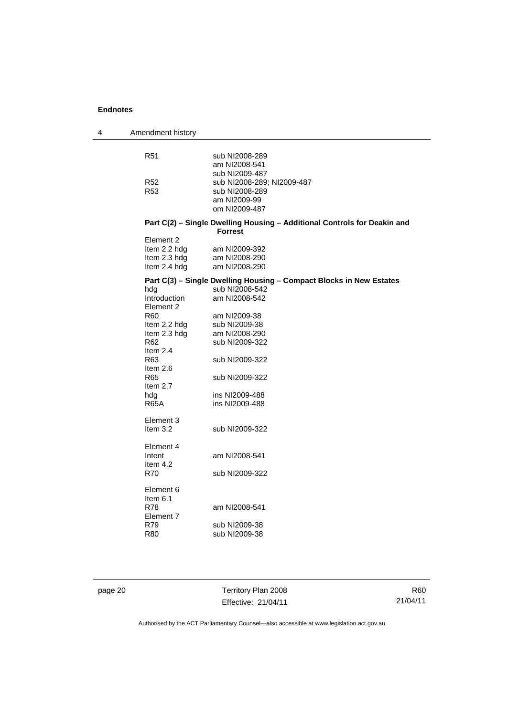| 4 | Amendment history                                         |                                                                                            |
|---|-----------------------------------------------------------|--------------------------------------------------------------------------------------------|
|   | R <sub>51</sub>                                           | sub NI2008-289<br>am NI2008-541<br>sub NI2009-487                                          |
|   | R <sub>52</sub><br>R <sub>53</sub>                        | sub NI2008-289; NI2009-487<br>sub NI2008-289<br>am NI2009-99<br>om NI2009-487              |
|   |                                                           | Part C(2) - Single Dwelling Housing - Additional Controls for Deakin and<br><b>Forrest</b> |
|   | Element 2<br>Item 2.2 hdg<br>Item 2.3 hdg<br>Item 2.4 hdg | am NI2009-392<br>am NI2008-290<br>am NI2008-290                                            |
|   |                                                           | Part C(3) - Single Dwelling Housing - Compact Blocks in New Estates                        |
|   | hdg<br>Introduction<br>Element 2                          | sub NI2008-542<br>am NI2008-542                                                            |
|   | R <sub>60</sub><br>Item 2.2 hdg                           | am NI2009-38<br>sub NI2009-38                                                              |
|   | Item 2.3 hdg<br>R62<br>Item $2.4$                         | am NI2008-290<br>sub NI2009-322                                                            |
|   | R <sub>63</sub><br>Item $2.6$                             | sub NI2009-322                                                                             |
|   | R65<br>Item $2.7$                                         | sub NI2009-322                                                                             |
|   | hdg<br><b>R65A</b>                                        | ins NI2009-488<br>ins NI2009-488                                                           |
|   | Element 3<br>Item $3.2$                                   | sub NI2009-322                                                                             |
|   | Element 4<br>Intent<br>Item $4.2$                         | am NI2008-541                                                                              |
|   | R70                                                       | sub NI2009-322                                                                             |
|   | Element 6<br>Item 6.1                                     |                                                                                            |
|   | R78<br>Element 7<br>R79                                   | am NI2008-541<br>sub NI2009-38                                                             |
|   | <b>R80</b>                                                | sub NI2009-38                                                                              |
|   |                                                           |                                                                                            |

page 20 Territory Plan 2008 Effective: 21/04/11

R60 21/04/11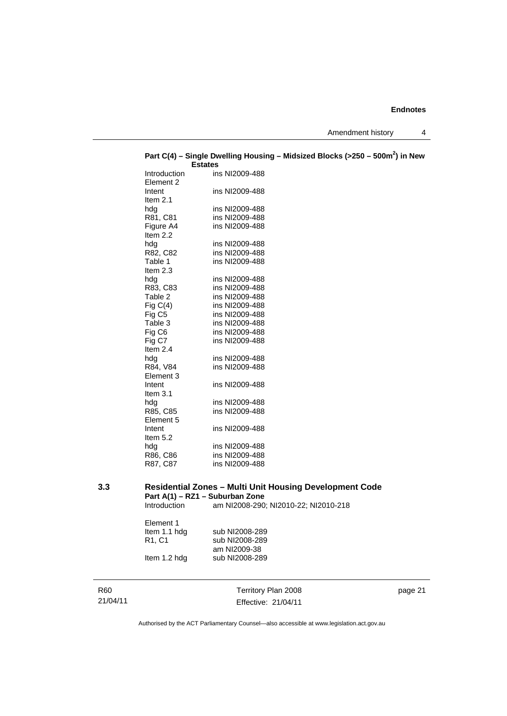Amendment history 4

|                           | <b>Estates</b>                   |
|---------------------------|----------------------------------|
| Introduction<br>Element 2 | ins NI2009-488                   |
| Intent                    | ins NI2009-488                   |
| Item $2.1$                |                                  |
| hda                       | ins NI2009-488                   |
| R81, C81                  | ins NI2009-488                   |
| Figure A4                 | ins NI2009-488                   |
| Item $2.2$                |                                  |
| hdg                       | ins NI2009-488                   |
| R82, C82                  | ins NI2009-488                   |
| Table 1                   | ins NI2009-488                   |
| Item $2.3$                |                                  |
| hdg                       | ins NI2009-488                   |
| R83, C83                  | ins NI2009-488                   |
| Table 2                   | ins NI2009-488                   |
| Fig $C(4)$                | ins NI2009-488                   |
| Fig C5                    | ins NI2009-488                   |
| Table 3                   | ins NI2009-488                   |
| Fig C6                    | ins NI2009-488                   |
| Fig C7                    | ins NI2009-488                   |
| Item 2.4                  |                                  |
| hda                       | ins NI2009-488                   |
| R84, V84                  | ins NI2009-488                   |
| Element 3                 |                                  |
| Intent                    | ins NI2009-488                   |
| Item $3.1$                |                                  |
| hda<br>R85, C85           | ins NI2009-488<br>ins NI2009-488 |
| Element 5                 |                                  |
| Intent                    | ins NI2009-488                   |
| Item $5.2$                |                                  |
| hda                       | ins NI2009-488                   |
| R86, C86                  | ins NI2009-488                   |
| R87, C87                  | ins NI2009-488                   |
|                           |                                  |

# **Part C(4) – Single Dwelling Housing – Midsized Blocks (>250 – 500m<sup>2</sup> ) in New**

### **3.3 Residential Zones – Multi Unit Housing Development Code Part A(1) – RZ1 – Suburban Zone**

Introduction am NI2008-290; NI2010-22; NI2010-218

| Element 1                       |                |
|---------------------------------|----------------|
| Item 1.1 hdg                    | sub NI2008-289 |
| R <sub>1</sub> , C <sub>1</sub> | sub NI2008-289 |
|                                 | am NI2009-38   |
| Item 1.2 hdg                    | sub NI2008-289 |
|                                 |                |

| R60      |  |
|----------|--|
| 21/04/11 |  |

Territory Plan 2008 Effective: 21/04/11

page 21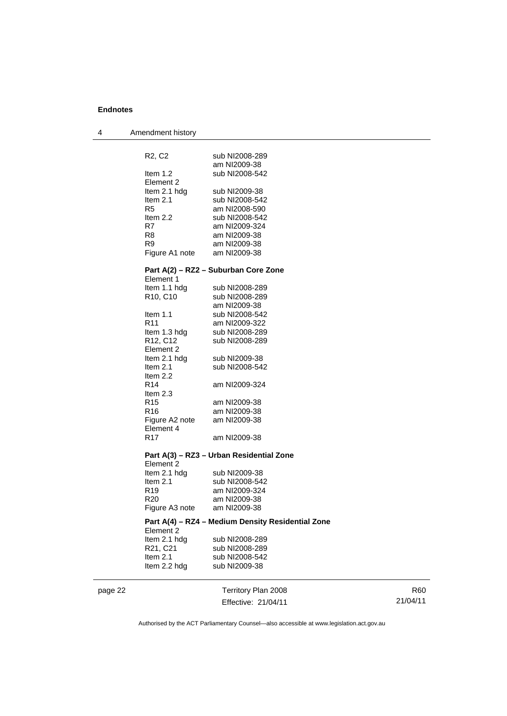| 4 | Amendment history                              |                                                   |
|---|------------------------------------------------|---------------------------------------------------|
|   |                                                |                                                   |
|   | R <sub>2</sub> , C <sub>2</sub>                | sub NI2008-289                                    |
|   |                                                | am NI2009-38                                      |
|   | Item $1.2$                                     | sub NI2008-542                                    |
|   | Element 2                                      |                                                   |
|   | Item 2.1 hdg                                   | sub NI2009-38                                     |
|   | Item $2.1$<br>R5                               | sub NI2008-542                                    |
|   | Item $2.2$                                     | am NI2008-590<br>sub NI2008-542                   |
|   | R7                                             | am NI2009-324                                     |
|   | R8                                             | am NI2009-38                                      |
|   | R9                                             | am NI2009-38                                      |
|   | Figure A1 note                                 | am NI2009-38                                      |
|   |                                                | Part A(2) – RZ2 – Suburban Core Zone              |
|   | Element 1                                      |                                                   |
|   | Item 1.1 hdg                                   | sub NI2008-289                                    |
|   | R <sub>10</sub> , C <sub>10</sub>              | sub NI2008-289                                    |
|   |                                                | am NI2009-38                                      |
|   | Item $1.1$                                     | sub NI2008-542                                    |
|   | R <sub>11</sub>                                | am NI2009-322                                     |
|   | Item 1.3 hdg                                   | sub NI2008-289                                    |
|   | R <sub>12</sub> , C <sub>12</sub><br>Element 2 | sub NI2008-289                                    |
|   | Item 2.1 hdg                                   | sub NI2009-38                                     |
|   | Item $2.1$                                     | sub NI2008-542                                    |
|   | Item 2.2                                       |                                                   |
|   | R14                                            | am NI2009-324                                     |
|   | Item $2.3$                                     |                                                   |
|   | R <sub>15</sub>                                | am NI2009-38                                      |
|   | R <sub>16</sub>                                | am NI2009-38                                      |
|   | Figure A2 note                                 | am NI2009-38                                      |
|   | Element 4                                      |                                                   |
|   | R17                                            | am NI2009-38                                      |
|   |                                                | Part A(3) – RZ3 – Urban Residential Zone          |
|   | Element 2                                      |                                                   |
|   | Item 2.1 hdg<br>Item $2.1$                     | sub NI2009-38<br>sub NI2008-542                   |
|   | R19                                            | am NI2009-324                                     |
|   | R20                                            | am NI2009-38                                      |
|   | Figure A3 note                                 | am NI2009-38                                      |
|   |                                                | Part A(4) - RZ4 - Medium Density Residential Zone |
|   | Element 2                                      |                                                   |
|   | Item 2.1 hdg                                   | sub NI2008-289                                    |
|   | R21, C21                                       | sub NI2008-289                                    |
|   | Item $2.1$                                     | sub NI2008-542                                    |
|   | Item 2.2 hdg                                   | sub NI2009-38                                     |

page 22 Territory Plan 2008 Effective: 21/04/11

R60 21/04/11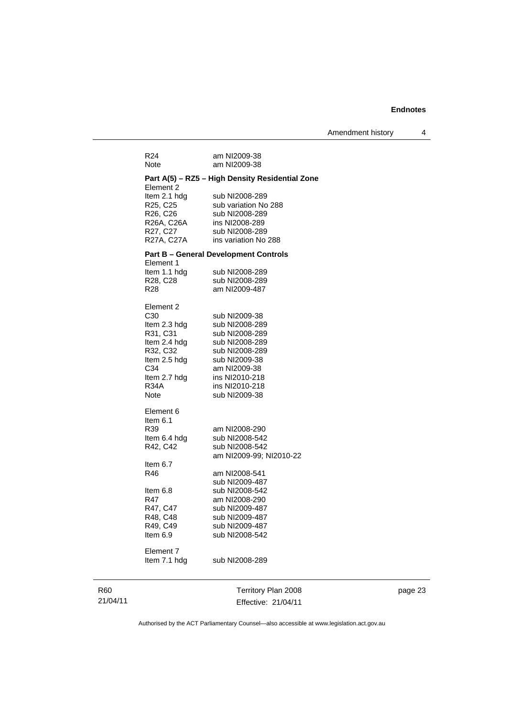| R24<br>Note               | am NI2009-38<br>am NI2009-38                    |
|---------------------------|-------------------------------------------------|
|                           | Part A(5) – RZ5 – High Density Residential Zone |
| Element 2                 |                                                 |
| Item 2.1 hdg              | sub NI2008-289                                  |
| R25, C25                  | sub variation No 288                            |
| R26, C26                  | sub NI2008-289                                  |
| R26A, C26A                | ins NI2008-289                                  |
| R27, C27                  | sub NI2008-289                                  |
| R27A, C27A                | ins variation No 288                            |
|                           | Part B - General Development Controls           |
| Element 1<br>Item 1.1 hdg | sub NI2008-289                                  |
| R28, C28                  | sub NI2008-289                                  |
| R28                       | am NI2009-487                                   |
|                           |                                                 |
| Element 2                 |                                                 |
| C <sub>30</sub>           | sub NI2009-38                                   |
| Item 2.3 hdg              | sub NI2008-289                                  |
| R31, C31                  | sub NI2008-289                                  |
| Item 2.4 hdg<br>R32, C32  | sub NI2008-289<br>sub NI2008-289                |
| ltem 2.5 hdg              | sub NI2009-38                                   |
| C34                       | am NI2009-38                                    |
| Item 2.7 hdg              | ins NI2010-218                                  |
| <b>R34A</b>               | ins NI2010-218                                  |
| Note                      | sub NI2009-38                                   |
| Element 6                 |                                                 |
| ltem 6.1                  |                                                 |
| R39                       | am NI2008-290                                   |
| ltem 6.4 hdg              | sub NI2008-542                                  |
| R42, C42                  | sub NI2008-542                                  |
|                           | am NI2009-99; NI2010-22                         |
| ltem 6.7                  |                                                 |
| R46                       | am NI2008-541                                   |
|                           | sub NI2009-487                                  |
| Item 6.8<br>R47           | sub NI2008-542<br>am NI2008-290                 |
| R47, C47                  | sub NI2009-487                                  |
| R48, C48                  | sub NI2009-487                                  |
| R49, C49                  | sub NI2009-487                                  |
| Item 6.9                  | sub NI2008-542                                  |
| Element 7                 |                                                 |
| Item 7.1 hdg              | sub NI2008-289                                  |
|                           |                                                 |
|                           |                                                 |
|                           | Territory Plan 2008                             |

page 23

Authorised by the ACT Parliamentary Counsel—also accessible at www.legislation.act.gov.au

Effective: 21/04/11

R60 21/04/11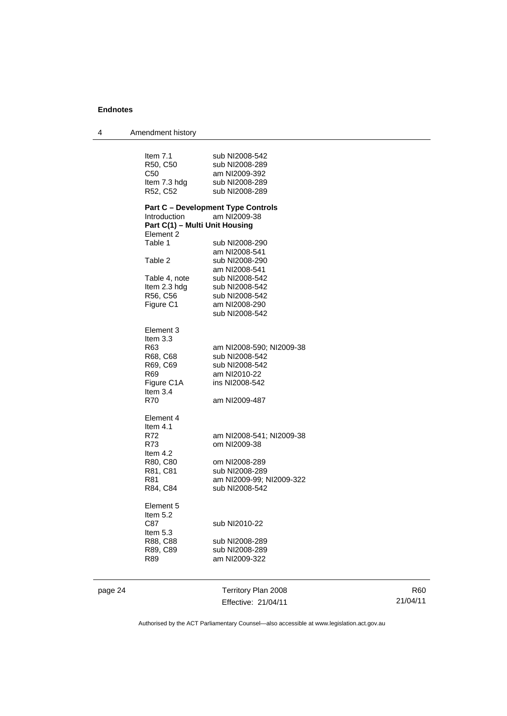| 4       | Amendment history              |                                            |
|---------|--------------------------------|--------------------------------------------|
|         |                                |                                            |
|         | Item 7.1                       | sub NI2008-542                             |
|         | R50, C50                       | sub NI2008-289                             |
|         | C <sub>50</sub>                | am NI2009-392                              |
|         | Item 7.3 hdg                   | sub NI2008-289                             |
|         | R52, C52                       | sub NI2008-289                             |
|         |                                | <b>Part C - Development Type Controls</b>  |
|         | Introduction                   | am NI2009-38                               |
|         | Part C(1) - Multi Unit Housing |                                            |
|         | Element 2                      |                                            |
|         | Table 1                        | sub NI2008-290                             |
|         |                                | am NI2008-541                              |
|         | Table 2                        | sub NI2008-290                             |
|         |                                | am NI2008-541                              |
|         | Table 4, note                  | sub NI2008-542                             |
|         | Item 2.3 hdg                   | sub NI2008-542                             |
|         | R56, C56                       | sub NI2008-542                             |
|         | Figure C1                      | am NI2008-290                              |
|         |                                | sub NI2008-542                             |
|         |                                |                                            |
|         | Element 3                      |                                            |
|         | Item $3.3$                     |                                            |
|         | R63                            | am NI2008-590; NI2009-38                   |
|         | R68, C68                       | sub NI2008-542                             |
|         | R69, C69                       | sub NI2008-542                             |
|         | R69                            | am NI2010-22                               |
|         | Figure C1A                     | ins NI2008-542                             |
|         | Item $3.4$                     |                                            |
|         | R70                            | am NI2009-487                              |
|         | Element 4                      |                                            |
|         | Item $4.1$                     |                                            |
|         | R72                            | am NI2008-541; NI2009-38                   |
|         | R73                            | om NI2009-38                               |
|         | Item 4.2                       |                                            |
|         |                                | om NI2008-289                              |
|         | R80, C80<br>R81, C81           | sub NI2008-289                             |
|         | R81                            |                                            |
|         |                                | am NI2009-99; NI2009-322<br>sub NI2008-542 |
|         | R84, C84                       |                                            |
|         | Element 5                      |                                            |
|         | Item $5.2$                     |                                            |
|         | C87                            | sub NI2010-22                              |
|         | Item 5.3                       |                                            |
|         | R88, C88                       | sub NI2008-289                             |
|         | R89, C89                       | sub NI2008-289                             |
|         | R89                            | am NI2009-322                              |
|         |                                |                                            |
| page 24 |                                | Territory Plan 2008                        |
|         |                                | Effective: 21/04/11                        |
|         |                                |                                            |

R60 21/04/11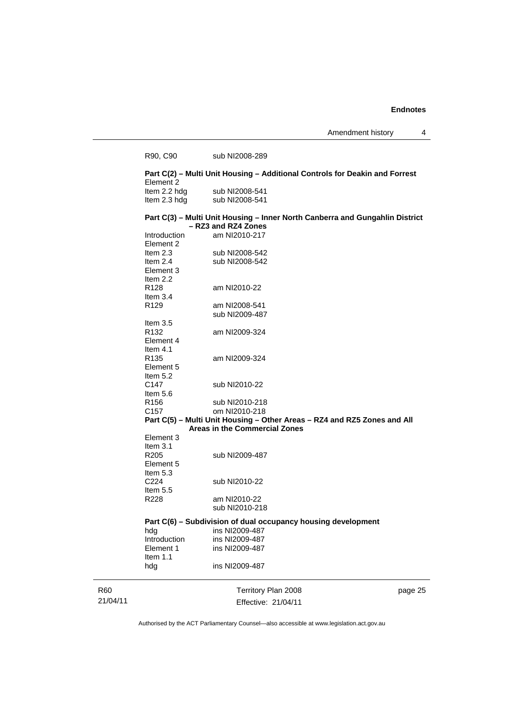Amendment history 4

|          | R90, C90                     | sub NI2008-289                                                                                      |         |
|----------|------------------------------|-----------------------------------------------------------------------------------------------------|---------|
|          | Element 2                    | Part C(2) - Multi Unit Housing - Additional Controls for Deakin and Forrest                         |         |
|          | Item 2.2 hdg<br>Item 2.3 hdg | sub NI2008-541<br>sub NI2008-541                                                                    |         |
|          |                              | Part C(3) - Multi Unit Housing - Inner North Canberra and Gungahlin District<br>- RZ3 and RZ4 Zones |         |
|          | Introduction                 | am NI2010-217                                                                                       |         |
|          | Element 2                    |                                                                                                     |         |
|          | Item $2.3$                   | sub NI2008-542                                                                                      |         |
|          | Item $2.4$                   | sub NI2008-542                                                                                      |         |
|          | Element 3                    |                                                                                                     |         |
|          | Item $2.2$                   |                                                                                                     |         |
|          | R <sub>128</sub>             | am NI2010-22                                                                                        |         |
|          | Item $3.4$                   |                                                                                                     |         |
|          | R <sub>129</sub>             | am NI2008-541<br>sub NI2009-487                                                                     |         |
|          | Item $3.5$                   |                                                                                                     |         |
|          | R <sub>132</sub>             | am NI2009-324                                                                                       |         |
|          | Element 4                    |                                                                                                     |         |
|          | Item $4.1$                   |                                                                                                     |         |
|          | R <sub>135</sub>             | am NI2009-324                                                                                       |         |
|          | Element 5                    |                                                                                                     |         |
|          | Item $5.2$                   |                                                                                                     |         |
|          | C <sub>147</sub>             | sub NI2010-22                                                                                       |         |
|          | Item $5.6$                   |                                                                                                     |         |
|          | R156                         | sub NI2010-218                                                                                      |         |
|          | C157                         | om NI2010-218                                                                                       |         |
|          |                              | Part C(5) - Multi Unit Housing - Other Areas - RZ4 and RZ5 Zones and All                            |         |
|          | Element 3                    | <b>Areas in the Commercial Zones</b>                                                                |         |
|          | Item $3.1$                   |                                                                                                     |         |
|          | R <sub>205</sub>             | sub NI2009-487                                                                                      |         |
|          | Element 5                    |                                                                                                     |         |
|          | Item $5.3$                   |                                                                                                     |         |
|          | C224                         | sub NI2010-22                                                                                       |         |
|          | Item $5.5$                   |                                                                                                     |         |
|          | R228                         | am NI2010-22                                                                                        |         |
|          |                              | sub NI2010-218                                                                                      |         |
|          |                              | Part C(6) - Subdivision of dual occupancy housing development                                       |         |
|          | hdg                          | ins NI2009-487                                                                                      |         |
|          | Introduction                 | ins NI2009-487                                                                                      |         |
|          | Element 1                    | ins NI2009-487                                                                                      |         |
|          | Item 1.1                     |                                                                                                     |         |
|          | hdg                          | ins NI2009-487                                                                                      |         |
| R60      |                              | Territory Plan 2008                                                                                 | page 25 |
| 21/04/11 |                              | Effective: 21/04/11                                                                                 |         |
|          |                              |                                                                                                     |         |

Authorised by the ACT Parliamentary Counsel—also accessible at www.legislation.act.gov.au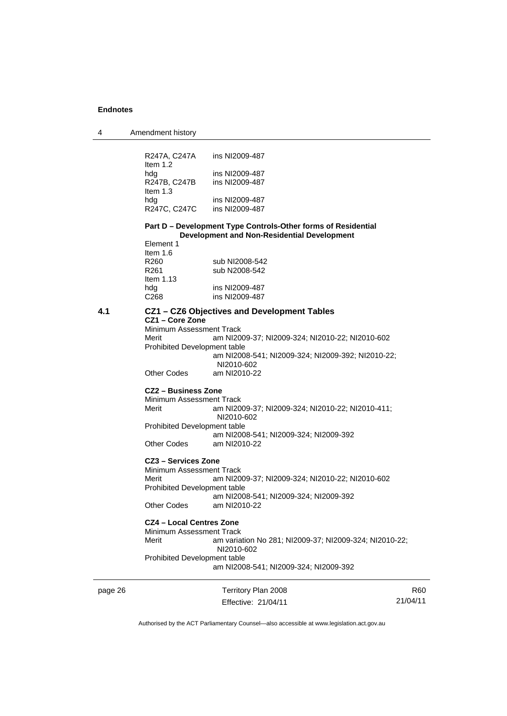| 4       | Amendment history                                                                        |                                                                                                                     |     |
|---------|------------------------------------------------------------------------------------------|---------------------------------------------------------------------------------------------------------------------|-----|
|         | R247A, C247A<br>Item $1.2$                                                               | ins NI2009-487                                                                                                      |     |
|         | hdg<br>R247B, C247B<br>Item $1.3$                                                        | ins NI2009-487<br>ins NI2009-487                                                                                    |     |
|         | hdg<br>R247C, C247C                                                                      | ins NI2009-487<br>ins NI2009-487                                                                                    |     |
|         |                                                                                          | Part D - Development Type Controls-Other forms of Residential<br><b>Development and Non-Residential Development</b> |     |
|         | Element 1<br>Item $1.6$<br>R <sub>260</sub><br>R <sub>261</sub>                          | sub NI2008-542<br>sub N2008-542                                                                                     |     |
|         | Item $1.13$<br>hdg<br>C <sub>268</sub>                                                   | ins NI2009-487<br>ins NI2009-487                                                                                    |     |
| 4.1     |                                                                                          | CZ1 - CZ6 Objectives and Development Tables                                                                         |     |
|         | CZ1 - Core Zone<br>Minimum Assessment Track<br>Merit<br>Prohibited Development table     | am NI2009-37; NI2009-324; NI2010-22; NI2010-602<br>am NI2008-541; NI2009-324; NI2009-392; NI2010-22;<br>NI2010-602  |     |
|         | Other Codes                                                                              | am NI2010-22                                                                                                        |     |
|         | CZ2 – Business Zone                                                                      |                                                                                                                     |     |
|         | Minimum Assessment Track<br>Merit                                                        | am NI2009-37; NI2009-324; NI2010-22; NI2010-411;<br>NI2010-602                                                      |     |
|         | Prohibited Development table<br><b>Other Codes</b>                                       | am NI2008-541; NI2009-324; NI2009-392<br>am NI2010-22                                                               |     |
|         |                                                                                          |                                                                                                                     |     |
|         | CZ3 - Services Zone<br>Minimum Assessment Track<br>Merit<br>Prohibited Development table | am NI2009-37; NI2009-324; NI2010-22; NI2010-602                                                                     |     |
|         | <b>Other Codes</b>                                                                       | am NI2008-541; NI2009-324; NI2009-392<br>am NI2010-22                                                               |     |
|         | <b>CZ4 - Local Centres Zone</b><br>Minimum Assessment Track<br>Merit                     | am variation No 281; NI2009-37; NI2009-324; NI2010-22;                                                              |     |
|         | Prohibited Development table                                                             | NI2010-602<br>am NI2008-541; NI2009-324; NI2009-392                                                                 |     |
| page 26 |                                                                                          | Territory Plan 2008                                                                                                 | R60 |

Authorised by the ACT Parliamentary Counsel—also accessible at www.legislation.act.gov.au

21/04/11

Effective: 21/04/11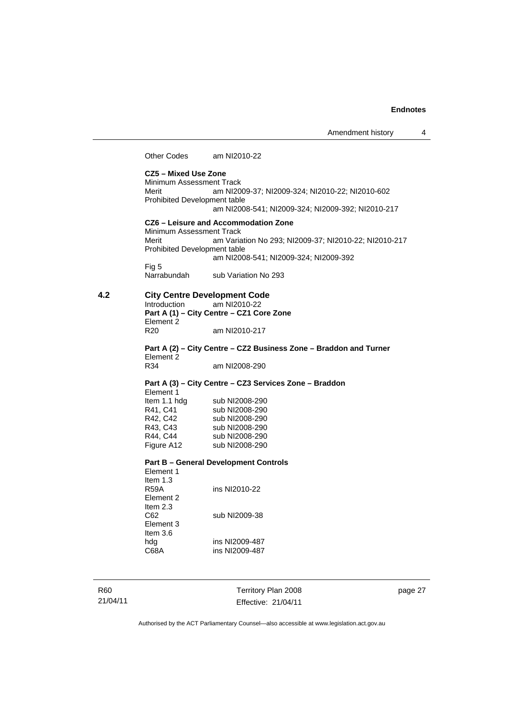Other Codes am NI2010-22

**CZ5 – Mixed Use Zone**  Minimum Assessment Track<br>Merit am NI20 am NI2009-37; NI2009-324; NI2010-22; NI2010-602 Prohibited Development table am NI2008-541; NI2009-324; NI2009-392; NI2010-217 **CZ6 – Leisure and Accommodation Zone** Minimum Assessment Track Merit am Variation No 293; NI2009-37; NI2010-22; NI2010-217 Prohibited Development table am NI2008-541; NI2009-324; NI2009-392 Fig 5<br>Narrabundah sub Variation No 293 **4.2 City Centre Development Code**  am NI2010-22 **Part A (1) – City Centre – CZ1 Core Zone**  Element 2<br>R20 am NI2010-217 **Part A (2) – City Centre – CZ2 Business Zone – Braddon and Turner**  Element 2<br>R34 am NI2008-290 **Part A (3) – City Centre – CZ3 Services Zone – Braddon**  Element 1 Item 1.1 hdg sub NI2008-290<br>R41, C41 sub NI2008-290 R41, C41 sub NI2008-290<br>R42, C42 sub NI2008-290 R42, C42 sub NI2008-290<br>R43, C43 sub NI2008-290 sub NI2008-290 R44, C44 sub NI2008-290<br>Figure A12 sub NI2008-290 sub NI2008-290 **Part B – General Development Controls**  Element 1

Item 1.3<br>R59A ins NI2010-22 Element 2 Item 2.3<br>C62 sub NI2009-38 Element 3 Item 3.6 hdg ins NI2009-487 C68A ins NI2009-487

R60 21/04/11 Territory Plan 2008 Effective: 21/04/11 page 27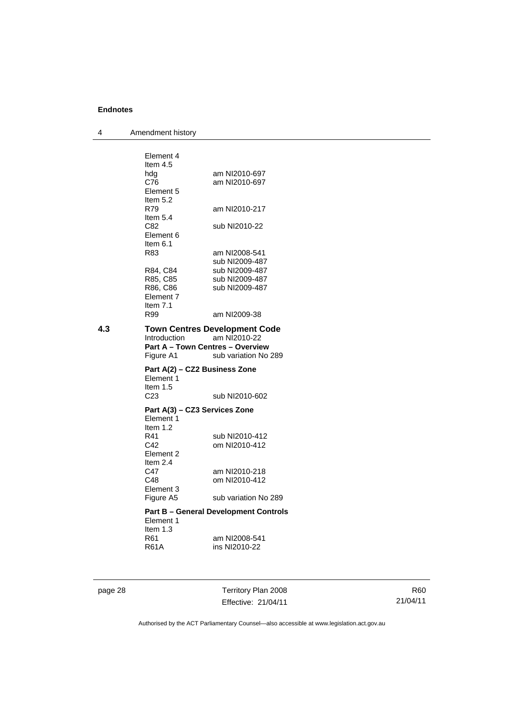4 Amendment history

|     | Element 4                                                            |                                                                              |
|-----|----------------------------------------------------------------------|------------------------------------------------------------------------------|
|     | Item 4.5                                                             |                                                                              |
|     | hdg                                                                  | am NI2010-697                                                                |
|     | C76                                                                  | am NI2010-697                                                                |
|     | Element 5                                                            |                                                                              |
|     | Item $5.2$                                                           |                                                                              |
|     | R79                                                                  | am NI2010-217                                                                |
|     | Item $5.4$                                                           |                                                                              |
|     | C82<br>Element 6                                                     | sub NI2010-22                                                                |
|     | Item $6.1$                                                           |                                                                              |
|     | R83                                                                  | am NI2008-541                                                                |
|     |                                                                      | sub NI2009-487                                                               |
|     | R84, C84                                                             | sub NI2009-487                                                               |
|     | R85, C85                                                             | sub NI2009-487                                                               |
|     | R86, C86                                                             | sub NI2009-487                                                               |
|     | Element 7                                                            |                                                                              |
|     | Item $7.1$                                                           |                                                                              |
|     | R99                                                                  | am NI2009-38                                                                 |
| 4.3 | Introduction<br><b>Part A - Town Centres - Overview</b><br>Figure A1 | <b>Town Centres Development Code</b><br>am NI2010-22<br>sub variation No 289 |
|     | Part A(2) - CZ2 Business Zone                                        |                                                                              |
|     | Element 1                                                            |                                                                              |
|     |                                                                      |                                                                              |
|     | Item $1.5$                                                           |                                                                              |
|     | C <sub>23</sub>                                                      | sub NI2010-602                                                               |
|     |                                                                      |                                                                              |
|     | Part A(3) – CZ3 Services Zone                                        |                                                                              |
|     | Element 1                                                            |                                                                              |
|     | Item $1.2$<br>R41                                                    | sub NI2010-412                                                               |
|     | C42                                                                  | om NI2010-412                                                                |
|     | Element 2                                                            |                                                                              |
|     | Item $2.4$                                                           |                                                                              |
|     | C47                                                                  | am NI2010-218                                                                |
|     | C48                                                                  | om NI2010-412                                                                |
|     | Element 3                                                            |                                                                              |
|     | Figure A5                                                            | sub variation No 289                                                         |
|     |                                                                      | <b>Part B – General Development Controls</b>                                 |
|     | Element 1                                                            |                                                                              |
|     | Item $1.3$                                                           |                                                                              |
|     | R61                                                                  | am NI2008-541                                                                |
|     | R61A                                                                 | ins NI2010-22                                                                |
|     |                                                                      |                                                                              |

page 28 Territory Plan 2008 Effective: 21/04/11

R60 21/04/11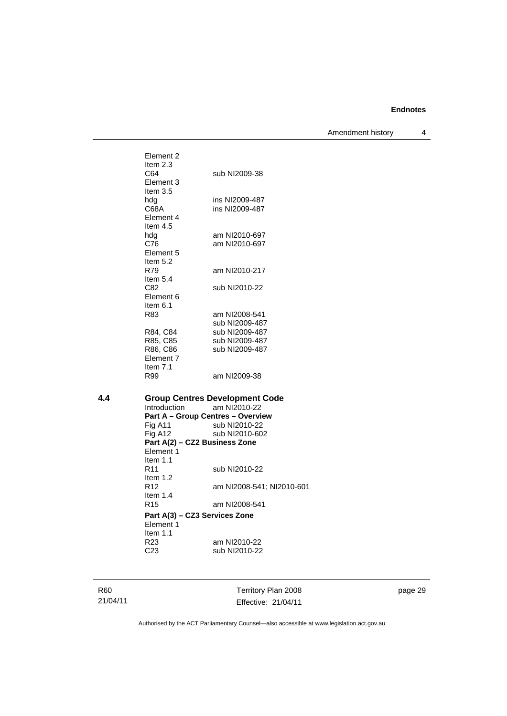Amendment history 4

| 4.4 | Introduction      | <b>Group Centres Development Code</b><br>am NI2010-22<br>$Part A = Grain$ Cantree - Overview |
|-----|-------------------|----------------------------------------------------------------------------------------------|
|     | R99               | am NI2009-38                                                                                 |
|     | Item $7.1$        |                                                                                              |
|     | Element 7         |                                                                                              |
|     | R86, C86          | sub NI2009-487                                                                               |
|     | R85, C85          | sub NI2009-487                                                                               |
|     | R84, C84          | sub NI2009-487                                                                               |
|     |                   | sub NI2009-487                                                                               |
|     | R83               | am NI2008-541                                                                                |
|     | Item 6.1          |                                                                                              |
|     | Element 6         |                                                                                              |
|     | C82               | sub NI2010-22                                                                                |
|     | Item $5.4$        |                                                                                              |
|     | Item $5.2$<br>R79 | am NI2010-217                                                                                |
|     | Element 5         |                                                                                              |
|     | C76               | am NI2010-697                                                                                |
|     | hdg               | am NI2010-697                                                                                |
|     | Item $4.5$        |                                                                                              |
|     | Element 4         |                                                                                              |
|     | C68A              | ins NI2009-487                                                                               |
|     | hda               | ins NI2009-487                                                                               |
|     | Item $3.5$        |                                                                                              |
|     | Element 3         |                                                                                              |
|     | C64               | sub NI2009-38                                                                                |
|     | Item $2.3$        |                                                                                              |
|     | Element 2         |                                                                                              |
|     |                   |                                                                                              |
|     |                   |                                                                                              |

**Part A – Group Centres – Overview Fig A11** sub NI2010-22 Fig A11 sub NI2010-22<br>Fig A12 sub NI2010-602 sub NI2010-602 **Part A(2) – CZ2 Business Zone**  Element 1 Item 1.1<br>R11 sub NI2010-22 Item 1.2 R12 am NI2008-541; NI2010-601 Item 1.4<br>R15 am NI2008-541 **Part A(3) – CZ3 Services Zone**  Element 1 Item 1.1 R23 am NI2010-22<br>C23 sub NI2010-22 sub NI2010-22

R60 21/04/11

Territory Plan 2008 Effective: 21/04/11 page 29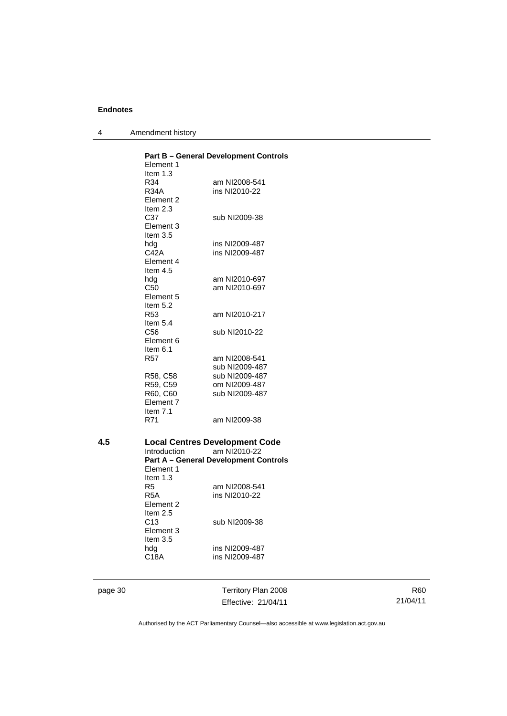| 4 | Amendment history |
|---|-------------------|
|---|-------------------|

|     | Element 1<br>Item $1.3$<br>R34<br>R34A<br>Element 2<br>Item $2.3$ | <b>Part B - General Development Controls</b><br>am NI2008-541<br>ins NI2010-22                        |
|-----|-------------------------------------------------------------------|-------------------------------------------------------------------------------------------------------|
|     | C37<br>Element 3<br>Item $3.5$                                    | sub NI2009-38<br>ins NI2009-487                                                                       |
|     | hdg<br>C42A<br>Element 4<br>Item $4.5$                            | ins NI2009-487                                                                                        |
|     | hdg<br>C50<br>Element 5<br>Item $5.2$                             | am NI2010-697<br>am NI2010-697                                                                        |
|     | R <sub>53</sub><br>Item 5.4                                       | am NI2010-217                                                                                         |
|     | C <sub>56</sub><br>Element 6<br>Item $6.1$                        | sub NI2010-22                                                                                         |
|     | <b>R57</b>                                                        | am NI2008-541<br>sub NI2009-487                                                                       |
|     | R58, C58<br>R59, C59<br>R60, C60<br>Element 7<br>Item $7.1$       | sub NI2009-487<br>om NI2009-487<br>sub NI2009-487                                                     |
|     | R71                                                               | am NI2009-38                                                                                          |
| 4.5 | Introduction<br>Element 1<br>Item $1.3$                           | <b>Local Centres Development Code</b><br>am NI2010-22<br><b>Part A - General Development Controls</b> |
|     | R5<br>R5A<br>Element 2<br>Item $2.5$                              | am NI2008-541<br>ins NI2010-22                                                                        |
|     | C <sub>13</sub><br>Element 3<br>Item $3.5$                        | sub NI2009-38                                                                                         |
|     | hdg<br>C18A                                                       | ins NI2009-487<br>ins NI2009-487                                                                      |

page 30 Territory Plan 2008 Effective: 21/04/11

R60 21/04/11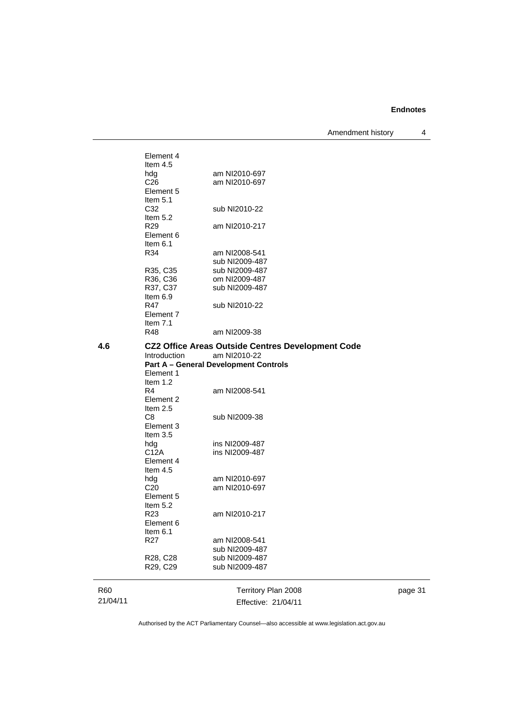Amendment history 4

R60 21/04/11 Territory Plan 2008 Effective: 21/04/11 page 31 Element 4 Item 4.5<br>hdg hdg am NI2010-697<br>C26 am NI2010-697 am NI2010-697 Element 5 Item  $5.1$ <br> $C32$ sub NI2010-22 Item 5.2 R29 am NI2010-217 Element 6 Item 6.1 R34 am NI2008-541 sub NI2009-487<br>R35, C35 sub NI2009-487 sub NI2009-487 R36, C36 om NI2009-487<br>R37, C37 sub NI2009-487 sub NI2009-487 Item  $6.9$ <br>R47 sub NI2010-22 Element 7 Item 7.1<br>R48 am NI2009-38 **4.6 CZ2 Office Areas Outside Centres Development Code**  Introduction am NI2010-22 **Part A – General Development Controls**  Element 1 Item 1.2<br>R4 am NI2008-541 Element 2 Item 2.5 C8 sub NI2009-38 Element 3 Item 3.5<br>hdg hdg ins NI2009-487<br>C12A ins NI2009-487 ins NI2009-487 Element 4 Item 4.5 hdg am NI2010-697<br>C20 am NI2010-697 am NI2010-697 Element 5 Item  $5.2$ <br>R<sub>23</sub> am NI2010-217 Element 6 Item 6.1<br>R27 am NI2008-541 sub NI2009-487 R28, C28 sub NI2009-487<br>R29, C29 sub NI2009-487 sub NI2009-487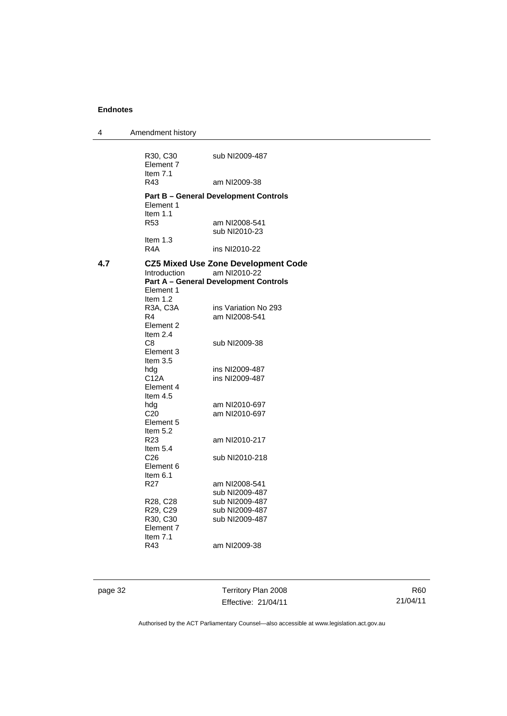| 4   | Amendment history                                         |                                                                                                            |
|-----|-----------------------------------------------------------|------------------------------------------------------------------------------------------------------------|
|     | R30, C30<br>Element 7<br>Item $7.1$<br>R43                | sub NI2009-487<br>am NI2009-38                                                                             |
|     | Element 1                                                 | <b>Part B - General Development Controls</b>                                                               |
|     | Item $1.1$<br>R <sub>53</sub>                             | am NI2008-541<br>sub NI2010-23                                                                             |
|     | Item $1.3$<br>R <sub>4</sub> A                            | ins NI2010-22                                                                                              |
| 4.7 | Introduction<br>Element 1<br>Item 1.2                     | <b>CZ5 Mixed Use Zone Development Code</b><br>am NI2010-22<br><b>Part A – General Development Controls</b> |
|     | R3A, C3A<br>R4<br>Element 2<br>Item 2.4                   | ins Variation No 293<br>am NI2008-541                                                                      |
|     | C <sub>8</sub><br>Element 3<br>Item $3.5$                 | sub NI2009-38                                                                                              |
|     | hdg<br>C12A<br>Element 4<br>Item 4.5                      | ins NI2009-487<br>ins NI2009-487                                                                           |
|     | hdg<br>C <sub>20</sub><br>Element 5<br>Item $5.2$         | am NI2010-697<br>am NI2010-697                                                                             |
|     | R <sub>23</sub><br>Item 5.4                               | am NI2010-217                                                                                              |
|     | C <sub>26</sub><br>Element 6<br>Item 6.1                  | sub NI2010-218                                                                                             |
|     | R27                                                       | am NI2008-541<br>sub NI2009-487                                                                            |
|     | R28, C28<br>R29, C29<br>R30, C30<br>Element 7<br>Item 7.1 | sub NI2009-487<br>sub NI2009-487<br>sub NI2009-487                                                         |
|     | R43                                                       | am NI2009-38                                                                                               |

page 32 Territory Plan 2008 Effective: 21/04/11

R60 21/04/11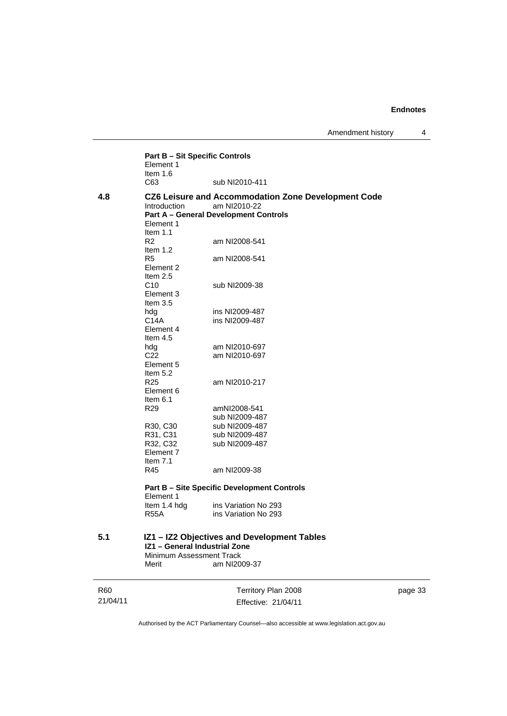|          | <b>Part B - Sit Specific Controls</b><br>Element 1                                                       |                                                                                                                     |  |  |  |
|----------|----------------------------------------------------------------------------------------------------------|---------------------------------------------------------------------------------------------------------------------|--|--|--|
|          | Item $1.6$<br>C63                                                                                        | sub NI2010-411                                                                                                      |  |  |  |
| 4.8      | <b>Introduction</b><br>Element 1<br>Item $1.1$                                                           | CZ6 Leisure and Accommodation Zone Development Code<br>am NI2010-22<br><b>Part A - General Development Controls</b> |  |  |  |
|          | R2<br>Item $1.2$                                                                                         | am NI2008-541                                                                                                       |  |  |  |
|          | R <sub>5</sub><br>Element 2<br>Item $2.5$                                                                | am NI2008-541                                                                                                       |  |  |  |
|          | C10<br>Element 3<br>Item $3.5$                                                                           | sub NI2009-38                                                                                                       |  |  |  |
|          | hdg<br>C14A<br>Element 4<br>Item $4.5$                                                                   | ins NI2009-487<br>ins NI2009-487                                                                                    |  |  |  |
|          | hdg<br>C <sub>22</sub><br>Element 5<br>Item $5.2$                                                        | am NI2010-697<br>am NI2010-697                                                                                      |  |  |  |
|          | R <sub>25</sub><br>Element 6<br>Item $6.1$                                                               | am NI2010-217                                                                                                       |  |  |  |
|          | R29                                                                                                      | amNI2008-541<br>sub NI2009-487                                                                                      |  |  |  |
|          | R30, C30<br>R31, C31<br>R32, C32<br>Element 7                                                            | sub NI2009-487<br>sub NI2009-487<br>sub NI2009-487                                                                  |  |  |  |
|          | Item $7.1$<br>R45                                                                                        | am NI2009-38                                                                                                        |  |  |  |
|          | <b>Part B - Site Specific Development Controls</b><br>Element 1                                          |                                                                                                                     |  |  |  |
|          | Item 1.4 hdg<br>R55A                                                                                     | ins Variation No 293<br>ins Variation No 293                                                                        |  |  |  |
| 5.1      | IZ1 - IZ2 Objectives and Development Tables<br>IZ1 - General Industrial Zone<br>Minimum Assessment Track |                                                                                                                     |  |  |  |
|          | Merit                                                                                                    | am NI2009-37                                                                                                        |  |  |  |
| R60      |                                                                                                          | Territory Plan 2008                                                                                                 |  |  |  |
| 21/04/11 |                                                                                                          | Effective: 21/04/11                                                                                                 |  |  |  |

page 33

Authorised by the ACT Parliamentary Counsel—also accessible at www.legislation.act.gov.au

Effective: 21/04/11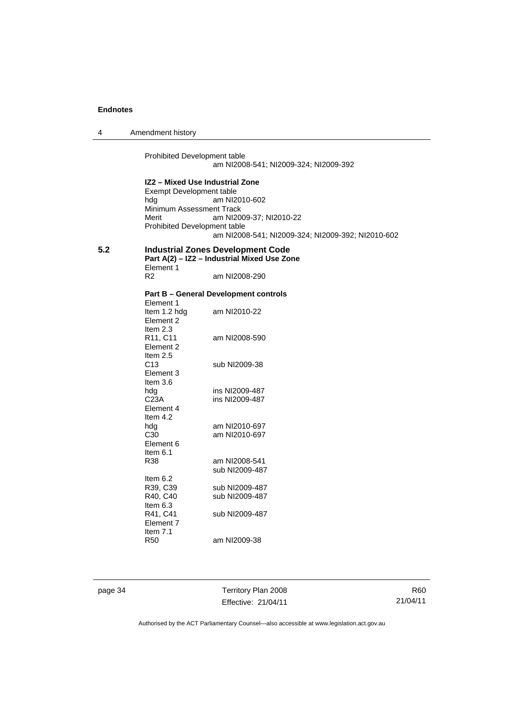4 Amendment history

Prohibited Development table am NI2008-541; NI2009-324; NI2009-392

**IZ2 – Mixed Use Industrial Zone**  Exempt Development table<br>hdg am NI2 am NI2010-602 Minimum Assessment Track Merit am NI2009-37; NI2010-22 Prohibited Development table am NI2008-541; NI2009-324; NI2009-392; NI2010-602

## **5.2 Industrial Zones Development Code Part A(2) – IZ2 – Industrial Mixed Use Zone**  Element 1<br>R2

am NI2008-290

#### **Part B – General Development controls**

| Element 1        |                |
|------------------|----------------|
| Item 1.2 hdg     | am NI2010-22   |
| Flement 2        |                |
| Item $2.3$       |                |
| R11, C11         | am NI2008-590  |
| Flement 2        |                |
| Item $2.5$       |                |
| C13              | sub NI2009-38  |
| Element 3        |                |
| Item 3.6         |                |
| hda              | ins NI2009-487 |
| C <sub>23A</sub> | ins NI2009-487 |
| Element 4        |                |
| Item 4.2         |                |
| hda              | am NI2010-697  |
| C30              | am NI2010-697  |
| Element 6        |                |
| ltem 6.1         |                |
| R38              | am NI2008-541  |
|                  | sub NI2009-487 |
| ltem 6.2         |                |
| R39. C39         | sub NI2009-487 |
| R40, C40         | sub NI2009-487 |
| ltem 6.3         |                |
| R41, C41         | sub NI2009-487 |
| Flement 7        |                |
| ltem 7.1         |                |
| R50              | am NI2009-38   |

page 34 Territory Plan 2008 Effective: 21/04/11

R60 21/04/11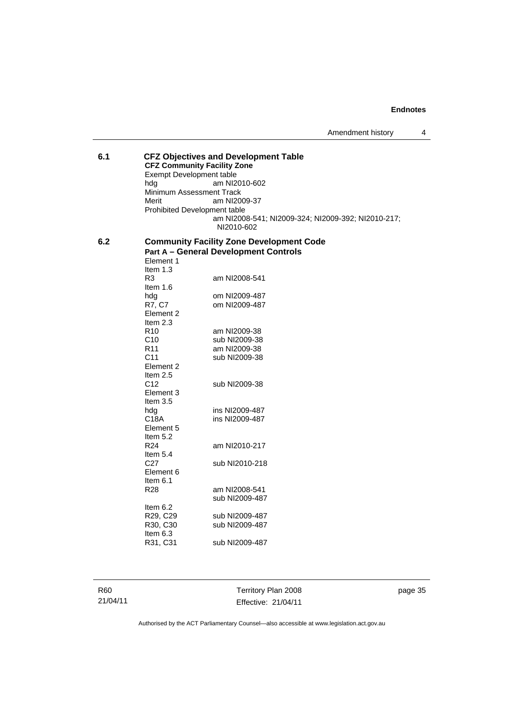## **6.1 CFZ Objectives and Development Table CFZ Community Facility Zone**  Exempt Development table<br>hdg am NI2 am NI2010-602 Minimum Assessment Track<br>Merit am NI20 am NI2009-37 Prohibited Development table am NI2008-541; NI2009-324; NI2009-392; NI2010-217; NI2010-602

#### **6.2 Community Facility Zone Development Code Part A – General Development Controls**  Element 1

| Item 1.3             |                |
|----------------------|----------------|
| R3                   | am NI2008-541  |
| ltem 1.6             |                |
| hdg                  | om NI2009-487  |
| R7, C7               | om NI2009-487  |
| Element <sub>2</sub> |                |
| Item $2.3$           |                |
| R <sub>10</sub>      | am NI2009-38   |
| C10                  | sub NI2009-38  |
| R <sub>11</sub>      | am NI2009-38   |
| C <sub>11</sub>      | sub NI2009-38  |
| Element <sub>2</sub> |                |
| Item $2.5$           |                |
| C <sub>12</sub>      | sub NI2009-38  |
| Element 3            |                |
| Item $3.5$           |                |
| hda                  | ins NI2009-487 |
| C18A                 | ins NI2009-487 |
| Element 5            |                |
| Item 5.2             |                |
| R <sub>24</sub>      | am NI2010-217  |
| Item $5.4$           |                |
| C <sub>27</sub>      | sub NI2010-218 |
| Element 6            |                |
| Item 6.1             |                |
| R <sub>28</sub>      | am NI2008-541  |
|                      | sub NI2009-487 |
| Item 6.2             |                |
| R29, C29             | sub NI2009-487 |
| R30, C30             | sub NI2009-487 |
| Item 6.3             |                |
| R31, C31             | sub NI2009-487 |
|                      |                |

R60 21/04/11

Territory Plan 2008 Effective: 21/04/11 page 35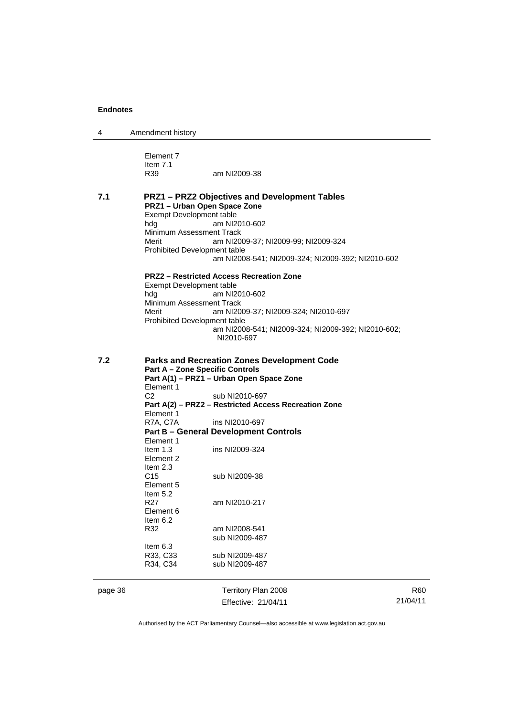| 4 | Amendment history |
|---|-------------------|
|---|-------------------|

Element 7 Item 7.1<br>R39 am NI2009-38

**7.1 PRZ1 – PRZ2 Objectives and Development Tables PRZ1 – Urban Open Space Zone**  Exempt Development table hdg am NI2010-602 Minimum Assessment Track<br>Merit am NI20 am NI2009-37; NI2009-99; NI2009-324 Prohibited Development table am NI2008-541; NI2009-324; NI2009-392; NI2010-602 **PRZ2 – Restricted Access Recreation Zone**  Exempt Development table<br>hdg am NI2 am NI2010-602 Minimum Assessment Track<br>Merit am NI20 am NI2009-37; NI2009-324; NI2010-697 Prohibited Development table am NI2008-541; NI2009-324; NI2009-392; NI2010-602; NI2010-697 **7.2 Parks and Recreation Zones Development Code Part A – Zone Specific Controls**  Part A(1) – PRZ1 – Urban Open Space Zone Element 1<br>C<sub>2</sub> sub NI2010-697 **Part A(2) – PRZ2 – Restricted Access Recreation Zone**  Element 1<br>R7A, C7A ins NI2010-697

#### **Part B – General Development Controls**  Element 1

| Item $1.3$ | ins NI2009-324 |
|------------|----------------|
| Flement 2  |                |
| Item $2.3$ |                |
| C15        | sub NI2009-38  |
| Element 5  |                |
| Item $5.2$ |                |
| R27        | am NI2010-217  |
| Flement 6  |                |
| ltem 6.2   |                |
| R32        | am NI2008-541  |
|            | sub NI2009-487 |
| Item $6.3$ |                |
| R33, C33   | sub NI2009-487 |
| R34, C34   | sub NI2009-487 |

page 36 Territory Plan 2008 Effective: 21/04/11

R60 21/04/11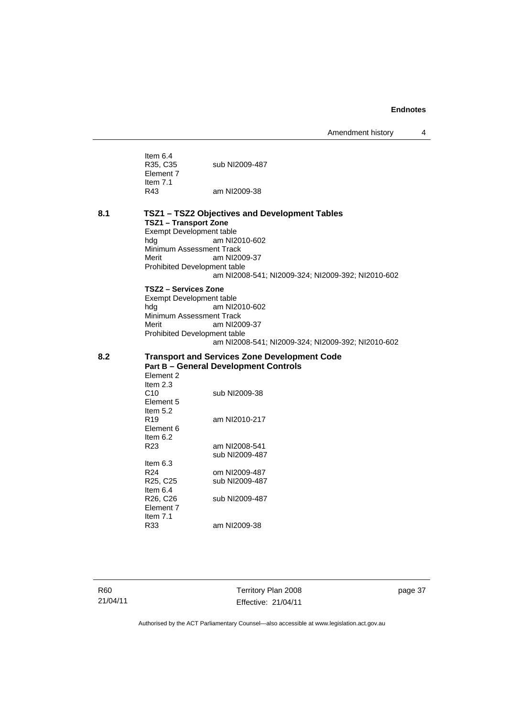Amendment history 4

|     | Item $6.4$<br>R35, C35<br>Element 7                                                                                                  | sub NI2009-487                                                                                                                                         |
|-----|--------------------------------------------------------------------------------------------------------------------------------------|--------------------------------------------------------------------------------------------------------------------------------------------------------|
|     | Item $7.1$<br>R43                                                                                                                    | am NI2009-38                                                                                                                                           |
| 8.1 | <b>TSZ1 - Transport Zone</b><br>Exempt Development table<br>hdg<br>Minimum Assessment Track<br>Merit<br>Prohibited Development table | TSZ1 - TSZ2 Objectives and Development Tables<br>am NI2010-602<br>am NI2009-37<br>am NI2008-541; NI2009-324; NI2009-392; NI2010-602                    |
|     | TSZ2 – Services Zone<br><b>Exempt Development table</b><br>hdg<br>Minimum Assessment Track<br>Merit<br>Prohibited Development table  | am NI2010-602<br>am NI2009-37<br>am NI2008-541; NI2009-324; NI2009-392; NI2010-602                                                                     |
| 8.2 | Element 2<br>Item 2.3<br>C10<br>Element 5<br>Item $5.2$<br>R <sub>19</sub><br>Element 6<br>Item $6.2$<br>R <sub>23</sub>             | <b>Transport and Services Zone Development Code</b><br><b>Part B - General Development Controls</b><br>sub NI2009-38<br>am NI2010-217<br>am NI2008-541 |
|     | Item $6.3$<br>R <sub>24</sub><br>R <sub>25</sub> , C <sub>25</sub><br>Item 6.4<br>R26, C26<br>Element 7<br>Item $7.1$<br>R33         | sub NI2009-487<br>om NI2009-487<br>sub NI2009-487<br>sub NI2009-487<br>am NI2009-38                                                                    |

R60 21/04/11

Territory Plan 2008 Effective: 21/04/11 page 37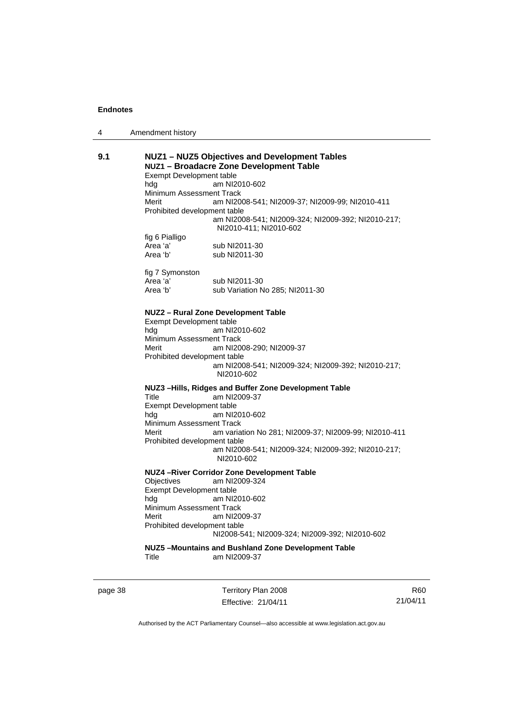| 4 | Amendment history |  |
|---|-------------------|--|
|---|-------------------|--|

| 9.1 | Exempt Development table<br>hda<br>Minimum Assessment Track<br>Merit<br>Prohibited development table<br>fig 6 Pialligo    | NUZ1 - NUZ5 Objectives and Development Tables<br>NUZ1 - Broadacre Zone Development Table<br>am NI2010-602<br>am NI2008-541; NI2009-37; NI2009-99; NI2010-411<br>am NI2008-541; NI2009-324; NI2009-392; NI2010-217;<br>NI2010-411; NI2010-602 |
|-----|---------------------------------------------------------------------------------------------------------------------------|----------------------------------------------------------------------------------------------------------------------------------------------------------------------------------------------------------------------------------------------|
|     | Area 'a'<br>Area 'b'                                                                                                      | sub NI2011-30<br>sub NI2011-30                                                                                                                                                                                                               |
|     | fig 7 Symonston<br>Area 'a'<br>Area 'b'                                                                                   | sub NI2011-30<br>sub Variation No 285; NI2011-30                                                                                                                                                                                             |
|     | Exempt Development table<br>hda<br>Minimum Assessment Track<br>Merit<br>Prohibited development table                      | NUZ2 - Rural Zone Development Table<br>am NI2010-602<br>am NI2008-290; NI2009-37<br>am NI2008-541; NI2009-324; NI2009-392; NI2010-217;<br>NI2010-602                                                                                         |
|     | Title<br>Exempt Development table<br>hda<br>Minimum Assessment Track<br>Merit<br>Prohibited development table             | NUZ3-Hills, Ridges and Buffer Zone Development Table<br>am NI2009-37<br>am NI2010-602<br>am variation No 281; NI2009-37; NI2009-99; NI2010-411<br>am NI2008-541; NI2009-324; NI2009-392; NI2010-217;<br>NI2010-602                           |
|     | <b>Objectives</b><br>Exempt Development table<br>hda<br>Minimum Assessment Track<br>Merit<br>Prohibited development table | <b>NUZ4-River Corridor Zone Development Table</b><br>am NI2009-324<br>am NI2010-602<br>am NI2009-37<br>NI2008-541; NI2009-324; NI2009-392; NI2010-602                                                                                        |
|     | Title                                                                                                                     | NUZ5-Mountains and Bushland Zone Development Table<br>am NI2009-37                                                                                                                                                                           |

page 38 Territory Plan 2008 Effective: 21/04/11

R60 21/04/11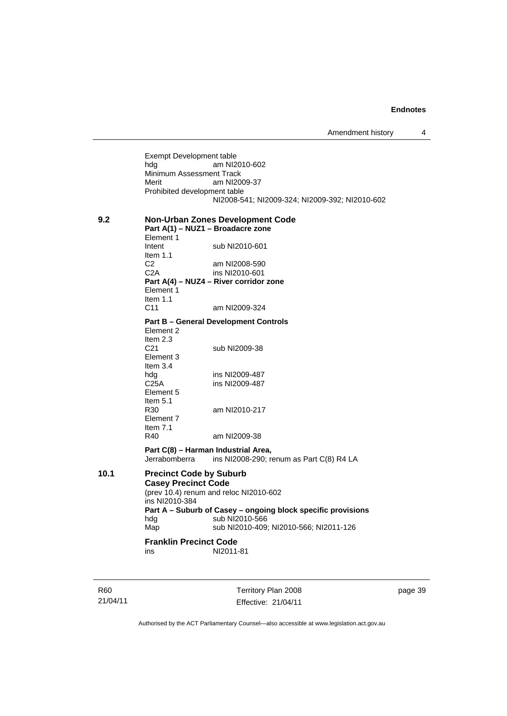Exempt Development table<br>hdg am NI2 am NI2010-602 Minimum Assessment Track<br>Merit am NI20 am NI2009-37 Prohibited development table NI2008-541; NI2009-324; NI2009-392; NI2010-602

**9.2 Non-Urban Zones Development Code Part A(1) – NUZ1 – Broadacre zone**  Element 1<br>Intent sub NI2010-601 Item 1.1 C2 am NI2008-590 C2A ins NI2010-601 **Part A(4) – NUZ4 – River corridor zone**  Element 1 Item 1.1 C11 am NI2009-324

#### **Part B – General Development Controls**

Element 2 Item  $2.3$ <br>C<sub>21</sub> sub NI2009-38 Element 3 Item 3.4 hdg ins NI2009-487 C25A ins NI2009-487 Element 5 Item 5.1 R30 am NI2010-217 Element 7 Item 7.1 R40 am NI2009-38

**Part C(8) – Harman Industrial Area,**  Jerrabomberra ins NI2008-290; renum as Part C(8) R4 LA

**10.1 Precinct Code by Suburb Casey Precinct Code**  (prev 10.4) renum and reloc NI2010-602 ins NI2010-384 **Part A – Suburb of Casey – ongoing block specific provisions**  hdg sub NI2010-566<br>Map sub NI2010-409 sub NI2010-409; NI2010-566; NI2011-126 **Franklin Precinct Code** 

ins NI2011-81

R60 21/04/11 Territory Plan 2008 Effective: 21/04/11 page 39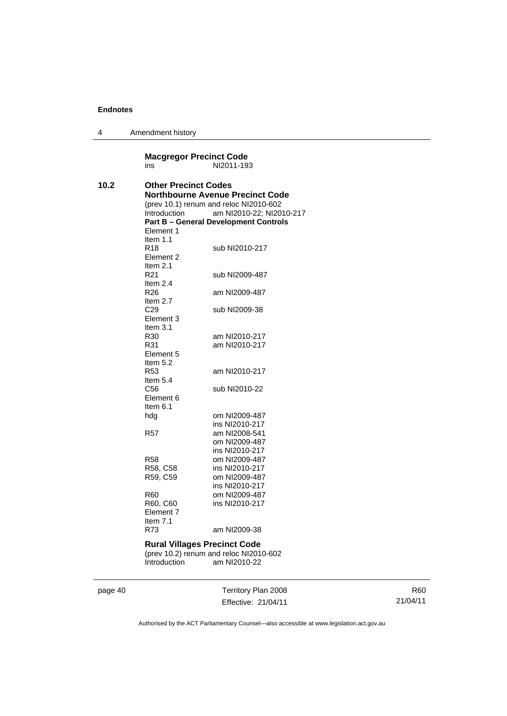4 Amendment history

#### **Macgregor Precinct Code**<br>
NI2011-193 NI2011-193 **10.2 Other Precinct Codes Northbourne Avenue Precinct Code**  (prev 10.1) renum and reloc NI2010-602 am NI2010-22; NI2010-217 **Part B – General Development Controls**  Element 1 Item 1.1<br>R18 sub NI2010-217 Element 2 Item 2.1<br>R21 sub NI2009-487 Item 2.4<br>R26 am NI2009-487 Item 2.7 C29 sub NI2009-38 Element 3 Item 3.1 R30 am NI2010-217 R31 am NI2010-217 Element 5 Item 5.2 R53 am NI2010-217 Item 5.4<br>C56 sub NI2010-22 Element 6 Item 6.1 om NI2009-487 ins NI2010-217 R57 am NI2008-541 om NI2009-487 ins NI2010-217<br>R58 om NI2009-487 om NI2009-487 R58, C58 ins NI2010-217 R59, C59 om NI2009-487 ins NI2010-217 R60 om NI2009-487 R60, C60 ins NI2010-217 Element 7 Item 7.1 R73 am NI2009-38 **Rural Villages Precinct Code**  (prev 10.2) renum and reloc NI2010-602 Introduction am NI2010-22

page 40 Territory Plan 2008 Effective: 21/04/11

R60 21/04/11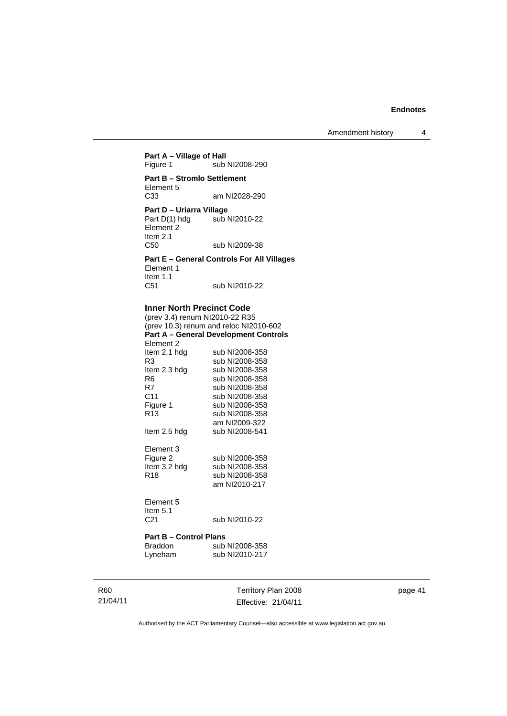Amendment history 4

## **Part A – Village of Hall**<br>Figure 1 sub sub NI2008-290 **Part B – Stromlo Settlement**  Element 5<br>C33 am NI2028-290

**Part D – Uriarra Village**<br>Part D(1) hdg sub I sub NI2010-22 Element 2 Item 2.1 C50 sub NI2009-38

**Part E – General Controls For All Villages**  Element 1 Item 1.1 C51 sub NI2010-22

#### **Inner North Precinct Code**

(prev 3.4) renum NI2010-22 R35 (prev 10.3) renum and reloc NI2010-602 **Part A – General Development Controls**  Element 2<br>Item 2.1 hdg Item 2.1 hdg sub NI2008-358<br>R3 sub NI2008-358 R3 sub NI2008-358<br>Item 2.3 hdg sub NI2008-358 sub NI2008-358 R6 sub NI2008-358<br>R7 sub NI2008-358 R7 sub NI2008-358<br>C11 sub NI2008-358 C11 sub NI2008-358<br>Figure 1 sub NI2008-358 sub NI2008-358 R13 sub NI2008-358 am NI2009-322<br>Item 2.5 hdg sub NI2008-541 sub NI2008-541 Element 3 Figure 2 sub NI2008-358 Item 3.2 hdg sub NI2008-358<br>R18 sub NI2008-358 sub NI2008-358

## Element 5 Item  $5.1$ <br> $C<sub>21</sub>$

sub NI2010-22

am NI2010-217

#### **Part B – Control Plans**

| Braddon | sub NI2008-358 |
|---------|----------------|
| Lyneham | sub NI2010-217 |

R60 21/04/11 Territory Plan 2008 Effective: 21/04/11 page 41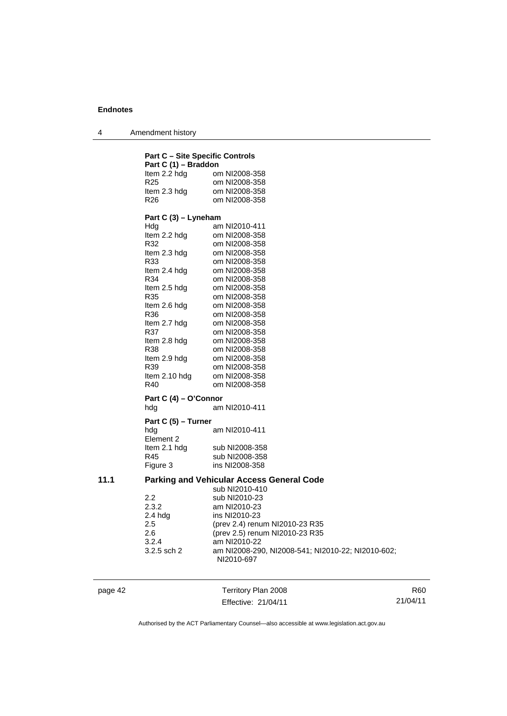4 Amendment history

|      | <b>Part C - Site Specific Controls</b> |                                                  |
|------|----------------------------------------|--------------------------------------------------|
|      | Part C (1) - Braddon                   |                                                  |
|      | Item 2.2 hdg                           | om NI2008-358                                    |
|      | R25                                    | om NI2008-358                                    |
|      | Item 2.3 hdg                           | om NI2008-358                                    |
|      | R26                                    | om NI2008-358                                    |
|      | Part C (3) - Lyneham                   |                                                  |
|      | Hdg                                    | am NI2010-411                                    |
|      | Item 2.2 hdg                           | om NI2008-358                                    |
|      | R32                                    | om NI2008-358                                    |
|      | Item 2.3 hdg                           | om NI2008-358                                    |
|      | R33                                    | om NI2008-358                                    |
|      | Item 2.4 hdg                           | om NI2008-358                                    |
|      | R34                                    | om NI2008-358                                    |
|      | Item 2.5 hdg                           | om NI2008-358                                    |
|      | R35                                    | om NI2008-358                                    |
|      | Item 2.6 hdg                           | om NI2008-358                                    |
|      | R36                                    | om NI2008-358                                    |
|      | Item 2.7 hdg                           | om NI2008-358                                    |
|      | R37                                    | om NI2008-358                                    |
|      | Item 2.8 hdg                           | om NI2008-358                                    |
|      | R38                                    | om NI2008-358                                    |
|      | Item 2.9 hdg                           | om NI2008-358                                    |
|      | R39                                    | om NI2008-358                                    |
|      | Item 2.10 hdg                          | om NI2008-358                                    |
|      | R40                                    | om NI2008-358                                    |
|      | Part C (4) - O'Connor                  |                                                  |
|      | hdg                                    | am NI2010-411                                    |
|      | Part C (5) - Turner                    |                                                  |
|      | hdg<br>Element 2                       | am NI2010-411                                    |
|      | Item 2.1 hdg                           | sub NI2008-358                                   |
|      | R45                                    | sub NI2008-358                                   |
|      | Figure 3                               | ins NI2008-358                                   |
| 11.1 |                                        | <b>Parking and Vehicular Access General Code</b> |
|      |                                        | sub NI2010-410                                   |
|      | 2.2                                    | sub NI2010-23                                    |
|      | 2.3.2                                  | am NI2010-23                                     |
|      | $2.4$ hdg                              | ins NI2010-23                                    |
|      | 2.5                                    | (prev 2.4) renum NI2010-23 R35                   |
|      | 2.6                                    | (prev 2.5) renum NI2010-23 R35                   |
|      | 3.2.4                                  | am NI2010-22                                     |
|      | 3.2.5 sch 2                            | am NI2008-290, NI2008-541; NI2                   |

page 42 Territory Plan 2008 Effective: 21/04/11

NI2010-697

R60 21/04/11

Authorised by the ACT Parliamentary Counsel—also accessible at www.legislation.act.gov.au

am NI2008-290, NI2008-541; NI2010-22; NI2010-602;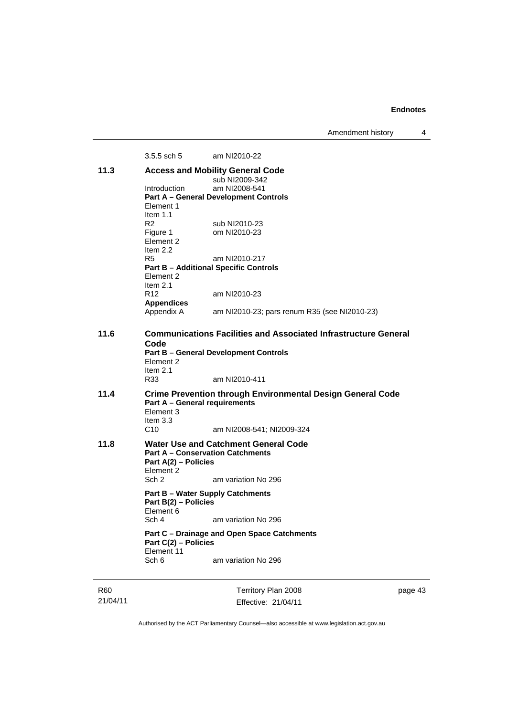Amendment history 4

3.5.5 sch 5 am NI2010-22 **11.3 Access and Mobility General Code**  sub NI2009-342 Introduction am NI2008-541 **Part A – General Development Controls**  Element 1 Item 1.1 R2 sub NI2010-23<br>Figure 1 om NI2010-23 om NI2010-23 Element 2 Item  $2.2$ <br>R5 am NI2010-217 **Part B – Additional Specific Controls**  Element 2 Item 2.1<br>R12 am NI2010-23 **Appendices**  am NI2010-23; pars renum R35 (see NI2010-23) **11.6 Communications Facilities and Associated Infrastructure General Code Part B – General Development Controls**  Element 2 Item 2.1 R33 am NI2010-411 **11.4 Crime Prevention through Environmental Design General Code Part A – General requirements**  Element 3 Item 3.3 C10 am NI2008-541; NI2009-324 **11.8 Water Use and Catchment General Code Part A – Conservation Catchments Part A(2) – Policies**  Element 2 Sch 2 am variation No 296 **Part B – Water Supply Catchments Part B(2) – Policies**  Element 6 Sch 4 am variation No 296 **Part C – Drainage and Open Space Catchments Part C(2) – Policies**  Element 11 Sch 6 am variation No 296

R60 21/04/11 Territory Plan 2008 Effective: 21/04/11 page 43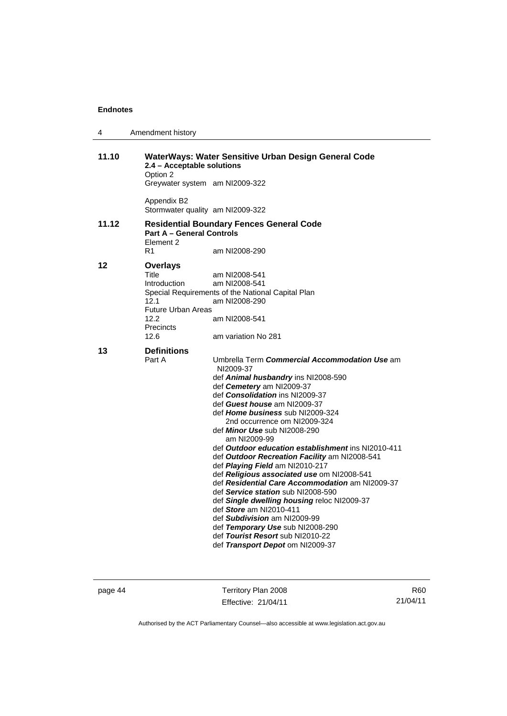| 4     | Amendment history                                                                                                                                                                                                                                                                                                                                                                                                                                                                                                                                                                                                                                                                                                                                                                                                                                                   |  |
|-------|---------------------------------------------------------------------------------------------------------------------------------------------------------------------------------------------------------------------------------------------------------------------------------------------------------------------------------------------------------------------------------------------------------------------------------------------------------------------------------------------------------------------------------------------------------------------------------------------------------------------------------------------------------------------------------------------------------------------------------------------------------------------------------------------------------------------------------------------------------------------|--|
| 11.10 | WaterWays: Water Sensitive Urban Design General Code<br>2.4 - Acceptable solutions<br>Option 2<br>Greywater system am NI2009-322                                                                                                                                                                                                                                                                                                                                                                                                                                                                                                                                                                                                                                                                                                                                    |  |
|       | Appendix B2<br>Stormwater quality am NI2009-322                                                                                                                                                                                                                                                                                                                                                                                                                                                                                                                                                                                                                                                                                                                                                                                                                     |  |
| 11.12 | <b>Residential Boundary Fences General Code</b><br><b>Part A - General Controls</b><br>Element 2<br>R1<br>am NI2008-290                                                                                                                                                                                                                                                                                                                                                                                                                                                                                                                                                                                                                                                                                                                                             |  |
| 12    | <b>Overlays</b><br>Title<br>am NI2008-541<br>Introduction<br>am NI2008-541<br>Special Requirements of the National Capital Plan<br>12.1<br>am NI2008-290<br><b>Future Urban Areas</b><br>12.2<br>am NI2008-541<br>Precincts<br>12.6<br>am variation No 281                                                                                                                                                                                                                                                                                                                                                                                                                                                                                                                                                                                                          |  |
| 13    | <b>Definitions</b><br>Umbrella Term Commercial Accommodation Use am<br>Part A<br>NI2009-37<br>def Animal husbandry ins NI2008-590<br>def Cemetery am NI2009-37<br>def Consolidation ins NI2009-37<br>def Guest house am NI2009-37<br>def Home business sub NI2009-324<br>2nd occurrence om NI2009-324<br>def <i>Minor Use</i> sub NI2008-290<br>am NI2009-99<br>def Outdoor education establishment ins NI2010-411<br>def Outdoor Recreation Facility am NI2008-541<br>def Playing Field am NI2010-217<br>def Religious associated use om NI2008-541<br>def Residential Care Accommodation am NI2009-37<br>def Service station sub NI2008-590<br>def Single dwelling housing reloc NI2009-37<br>def Store am NI2010-411<br>def Subdivision am NI2009-99<br>def Temporary Use sub NI2008-290<br>def Tourist Resort sub NI2010-22<br>def Transport Depot om NI2009-37 |  |

page 44 Territory Plan 2008 Effective: 21/04/11

R60 21/04/11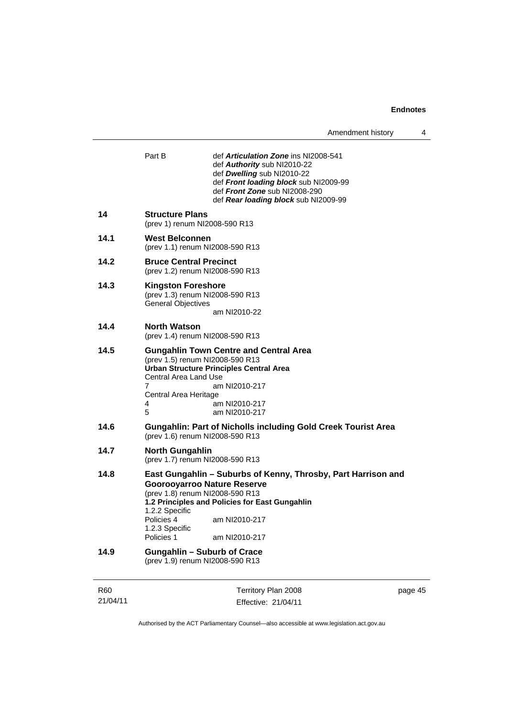| Amendment history |  |
|-------------------|--|
|-------------------|--|

| <b>R60</b> | Territory Plan 2008<br>page 45                                                                                                                                                                                                       |  |  |  |  |
|------------|--------------------------------------------------------------------------------------------------------------------------------------------------------------------------------------------------------------------------------------|--|--|--|--|
| 14.9       | <b>Gungahlin - Suburb of Crace</b><br>(prev 1.9) renum NI2008-590 R13                                                                                                                                                                |  |  |  |  |
|            | 1.2 Principles and Policies for East Gungahlin<br>1.2.2 Specific<br>Policies 4<br>am NI2010-217<br>1.2.3 Specific<br>Policies 1<br>am NI2010-217                                                                                     |  |  |  |  |
| 14.8       | East Gungahlin – Suburbs of Kenny, Throsby, Part Harrison and<br><b>Goorooyarroo Nature Reserve</b><br>(prev 1.8) renum NI2008-590 R13                                                                                               |  |  |  |  |
| 14.7       | <b>North Gungahlin</b><br>(prev 1.7) renum NI2008-590 R13                                                                                                                                                                            |  |  |  |  |
| 14.6       | <b>Gungahlin: Part of Nicholls including Gold Creek Tourist Area</b><br>(prev 1.6) renum NI2008-590 R13                                                                                                                              |  |  |  |  |
|            | <b>Urban Structure Principles Central Area</b><br><b>Central Area Land Use</b><br>7<br>am NI2010-217<br>Central Area Heritage<br>am NI2010-217<br>4<br>5<br>am NI2010-217                                                            |  |  |  |  |
| 14.5       | <b>Gungahlin Town Centre and Central Area</b><br>(prev 1.5) renum NI2008-590 R13                                                                                                                                                     |  |  |  |  |
| 14.4       | <b>North Watson</b><br>(prev 1.4) renum NI2008-590 R13                                                                                                                                                                               |  |  |  |  |
| 14.3       | <b>Kingston Foreshore</b><br>(prev 1.3) renum NI2008-590 R13<br><b>General Objectives</b><br>am NI2010-22                                                                                                                            |  |  |  |  |
| 14.2       | <b>Bruce Central Precinct</b><br>(prev 1.2) renum NI2008-590 R13                                                                                                                                                                     |  |  |  |  |
| 14.1       | West Belconnen<br>(prev 1.1) renum NI2008-590 R13                                                                                                                                                                                    |  |  |  |  |
| 14         | <b>Structure Plans</b><br>(prev 1) renum NI2008-590 R13                                                                                                                                                                              |  |  |  |  |
|            | Part B<br>def <b>Articulation Zone</b> ins NI2008-541<br>def Authority sub NI2010-22<br>def Dwelling sub NI2010-22<br>def Front loading block sub NI2009-99<br>def Front Zone sub NI2008-290<br>def Rear loading block sub NI2009-99 |  |  |  |  |
|            |                                                                                                                                                                                                                                      |  |  |  |  |

Authorised by the ACT Parliamentary Counsel—also accessible at www.legislation.act.gov.au

Effective: 21/04/11

21/04/11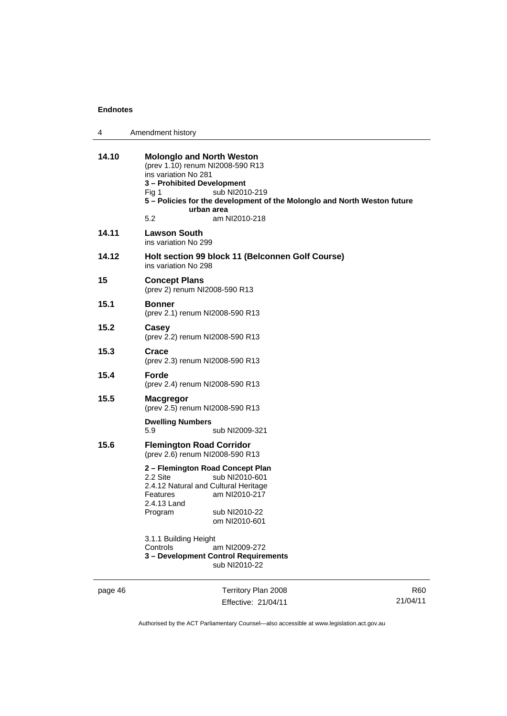| 4     | Amendment history                                                                                                                                                                                                                                                       |
|-------|-------------------------------------------------------------------------------------------------------------------------------------------------------------------------------------------------------------------------------------------------------------------------|
| 14.10 | <b>Molonglo and North Weston</b><br>(prev 1.10) renum NI2008-590 R13<br>ins variation No 281<br>3 - Prohibited Development<br>sub NI2010-219<br>Fig 1<br>5 - Policies for the development of the Molonglo and North Weston future<br>urban area<br>5.2<br>am NI2010-218 |
| 14.11 | <b>Lawson South</b><br>ins variation No 299                                                                                                                                                                                                                             |
| 14.12 | Holt section 99 block 11 (Belconnen Golf Course)<br>ins variation No 298                                                                                                                                                                                                |
| 15    | <b>Concept Plans</b><br>(prev 2) renum NI2008-590 R13                                                                                                                                                                                                                   |
| 15.1  | <b>Bonner</b><br>(prev 2.1) renum NI2008-590 R13                                                                                                                                                                                                                        |
| 15.2  | Casey<br>(prev 2.2) renum NI2008-590 R13                                                                                                                                                                                                                                |
| 15.3  | Crace<br>(prev 2.3) renum NI2008-590 R13                                                                                                                                                                                                                                |
| 15.4  | Forde<br>(prev 2.4) renum NI2008-590 R13                                                                                                                                                                                                                                |
| 15.5  | <b>Macgregor</b><br>(prev 2.5) renum NI2008-590 R13                                                                                                                                                                                                                     |
|       | <b>Dwelling Numbers</b><br>5.9<br>sub NI2009-321                                                                                                                                                                                                                        |
| 15.6  | <b>Flemington Road Corridor</b><br>(prev 2.6) renum NI2008-590 R13                                                                                                                                                                                                      |
|       | 2 – Flemington Road Concept Plan<br>2.2 Site<br>sub NI2010-601<br>2.4.12 Natural and Cultural Heritage<br><b>Features</b><br>am NI2010-217<br>2.4.13 Land<br>Program<br>sub NI2010-22<br>om NI2010-601                                                                  |
|       | 3.1.1 Building Height<br>Controls<br>am NI2009-272<br>3 - Development Control Requirements<br>sub NI2010-22                                                                                                                                                             |

page 46 Territory Plan 2008 Effective: 21/04/11

R60 21/04/11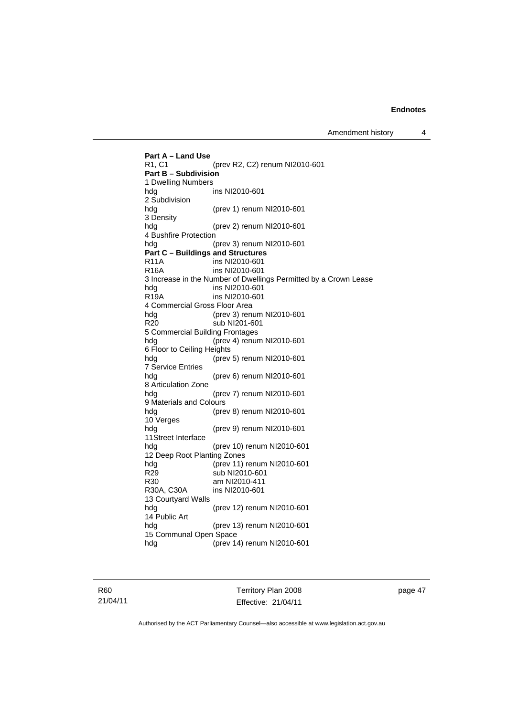Amendment history 4

**Part A – Land Use**  R1, C1 (prev R2, C2) renum NI2010-601 **Part B – Subdivision**  1 Dwelling Numbers hdg ins NI2010-601 2 Subdivision hdg (prev 1) renum NI2010-601 3 Density hdg (prev 2) renum NI2010-601 4 Bushfire Protection<br>hdg (I (prev 3) renum NI2010-601 **Part C – Buildings and Structures**  R11A ins NI2010-601 R16A ins NI2010-601 3 Increase in the Number of Dwellings Permitted by a Crown Lease hdg ins NI2010-601<br>R19A ins NI2010-601 ins NI2010-601 4 Commercial Gross Floor Area hdg (prev 3) renum NI2010-601<br>R20 sub NI201-601 sub NI201-601 5 Commercial Building Frontages hdg (prev 4) renum NI2010-601 6 Floor to Ceiling Heights hdg (prev 5) renum NI2010-601 7 Service Entries hdg (prev 6) renum NI2010-601 8 Articulation Zone hdg (prev 7) renum NI2010-601 9 Materials and Colours hdg (prev 8) renum NI2010-601 10 Verges hdg (prev 9) renum NI2010-601 11Street Interface hdg (prev 10) renum NI2010-601 12 Deep Root Planting Zones hdg (prev 11) renum NI2010-601<br>R29 sub NI2010-601 sub NI2010-601 R30 am NI2010-411<br>R30A. C30A ins NI2010-601 ins NI2010-601 13 Courtyard Walls hdg (prev 12) renum NI2010-601 14 Public Art (prev 13) renum NI2010-601 15 Communal Open Space hdg (prev 14) renum NI2010-601

R60 21/04/11 Territory Plan 2008 Effective: 21/04/11 page 47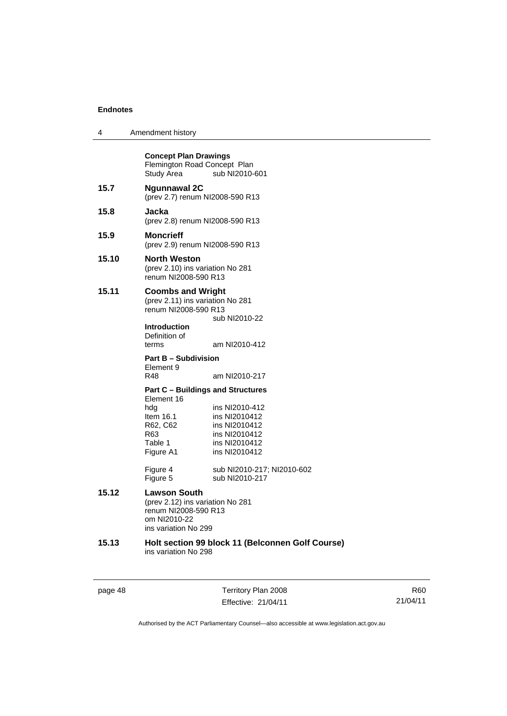| 4     | Amendment history                                                                                                                                                  |
|-------|--------------------------------------------------------------------------------------------------------------------------------------------------------------------|
|       | <b>Concept Plan Drawings</b><br>Flemington Road Concept Plan<br>sub NI2010-601<br>Study Area                                                                       |
| 15.7  | <b>Ngunnawal 2C</b><br>(prev 2.7) renum NI2008-590 R13                                                                                                             |
| 15.8  | Jacka<br>(prev 2.8) renum NI2008-590 R13                                                                                                                           |
| 15.9  | Moncrieff<br>(prev 2.9) renum NI2008-590 R13                                                                                                                       |
| 15.10 | <b>North Weston</b><br>(prev 2.10) ins variation No 281<br>renum NI2008-590 R13                                                                                    |
| 15.11 | <b>Coombs and Wright</b><br>(prev 2.11) ins variation No 281<br>renum NI2008-590 R13<br>sub NI2010-22                                                              |
|       | <b>Introduction</b><br>Definition of<br>terms<br>am NI2010-412                                                                                                     |
|       | <b>Part B - Subdivision</b><br>Element 9<br>R48<br>am NI2010-217                                                                                                   |
|       | <b>Part C - Buildings and Structures</b><br>Element 16                                                                                                             |
|       | hdg<br>ins NI2010-412<br>ins NI2010412<br>ltem 16.1<br>R62, C62<br>ins NI2010412<br>ins NI2010412<br>R63<br>Table 1<br>ins NI2010412<br>Figure A1<br>ins NI2010412 |
|       | Figure 4<br>sub NI2010-217; NI2010-602<br>sub NI2010-217<br>Figure 5                                                                                               |
| 15.12 | <b>Lawson South</b><br>(prev 2.12) ins variation No 281<br>renum NI2008-590 R13<br>om NI2010-22<br>ins variation No 299                                            |
| 15.13 | Holt section 99 block 11 (Belconnen Golf Course)<br>ins variation No 298                                                                                           |
|       |                                                                                                                                                                    |

page 48 Territory Plan 2008 Effective: 21/04/11

R60 21/04/11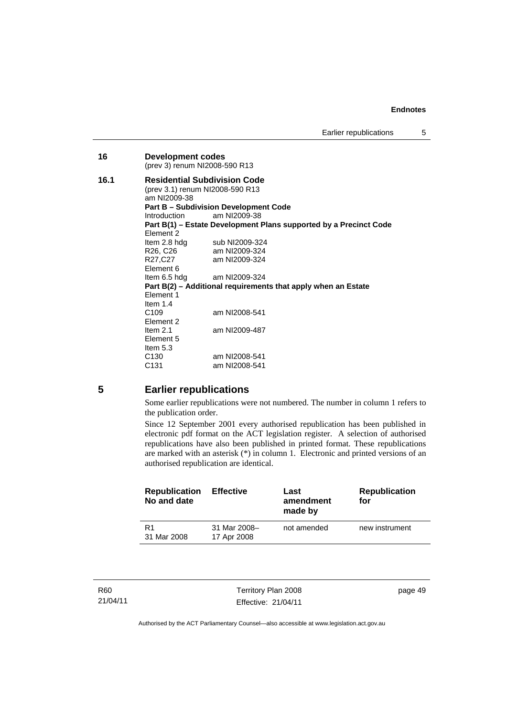| 16   | <b>Development codes</b><br>(prev 3) renum NI2008-590 R13                                                                              |                                                                   |  |  |  |  |
|------|----------------------------------------------------------------------------------------------------------------------------------------|-------------------------------------------------------------------|--|--|--|--|
| 16.1 | <b>Residential Subdivision Code</b><br>(prev 3.1) renum NI2008-590 R13<br>am NI2009-38<br><b>Part B - Subdivision Development Code</b> |                                                                   |  |  |  |  |
|      | Introduction                                                                                                                           | am NI2009-38                                                      |  |  |  |  |
|      |                                                                                                                                        | Part B(1) – Estate Development Plans supported by a Precinct Code |  |  |  |  |
|      | Flement 2                                                                                                                              |                                                                   |  |  |  |  |
|      | Item 2.8 hdg                                                                                                                           | sub NI2009-324                                                    |  |  |  |  |
|      | R26, C26                                                                                                                               | am NI2009-324                                                     |  |  |  |  |
|      | R27,C27                                                                                                                                | am NI2009-324                                                     |  |  |  |  |
|      | Element 6                                                                                                                              |                                                                   |  |  |  |  |
|      | Item 6.5 hdg                                                                                                                           | am NI2009-324                                                     |  |  |  |  |
|      | Part B(2) – Additional requirements that apply when an Estate                                                                          |                                                                   |  |  |  |  |
|      | Element 1                                                                                                                              |                                                                   |  |  |  |  |
|      | Item $1.4$                                                                                                                             |                                                                   |  |  |  |  |
|      | C <sub>109</sub>                                                                                                                       | am NI2008-541                                                     |  |  |  |  |
|      | Element 2                                                                                                                              |                                                                   |  |  |  |  |
|      | Item $2.1$                                                                                                                             | am NI2009-487                                                     |  |  |  |  |
|      | Element 5                                                                                                                              |                                                                   |  |  |  |  |
|      | Item $5.3$                                                                                                                             |                                                                   |  |  |  |  |
|      | C <sub>130</sub>                                                                                                                       | am NI2008-541                                                     |  |  |  |  |
|      | C131                                                                                                                                   | am NI2008-541                                                     |  |  |  |  |

## **5 Earlier republications**

Some earlier republications were not numbered. The number in column 1 refers to the publication order.

Since 12 September 2001 every authorised republication has been published in electronic pdf format on the ACT legislation register. A selection of authorised republications have also been published in printed format. These republications are marked with an asterisk  $(*)$  in column 1. Electronic and printed versions of an authorised republication are identical.

| <b>Republication</b><br>No and date | <b>Effective</b>            | Last<br>amendment<br>made by | <b>Republication</b><br>for |
|-------------------------------------|-----------------------------|------------------------------|-----------------------------|
| R1<br>31 Mar 2008                   | 31 Mar 2008-<br>17 Apr 2008 | not amended                  | new instrument              |

| R60      |  |
|----------|--|
| 21/04/11 |  |

Territory Plan 2008 Effective: 21/04/11

page 49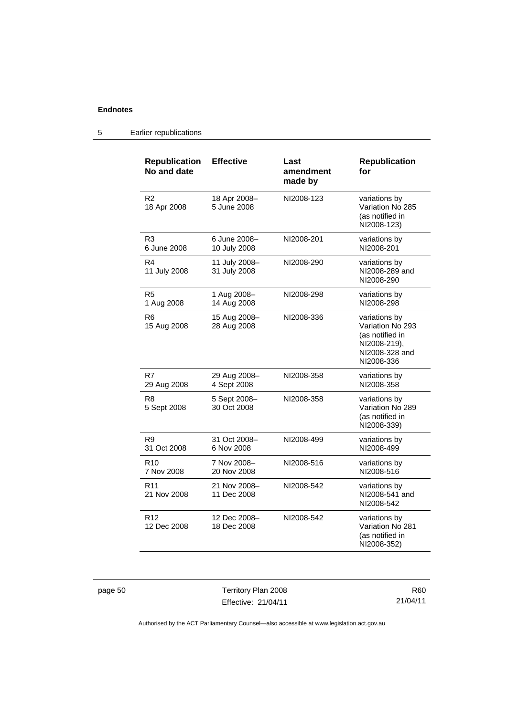## 5 Earlier republications

| <b>Republication</b><br>No and date | <b>Effective</b>              | Last<br>amendment<br>made by | <b>Republication</b><br>for                                                                          |
|-------------------------------------|-------------------------------|------------------------------|------------------------------------------------------------------------------------------------------|
| R <sub>2</sub><br>18 Apr 2008       | 18 Apr 2008-<br>5 June 2008   | NI2008-123                   | variations by<br>Variation No 285<br>(as notified in<br>NI2008-123)                                  |
| R <sub>3</sub><br>6 June 2008       | 6 June 2008-<br>10 July 2008  | NI2008-201                   | variations by<br>NI2008-201                                                                          |
| R4<br>11 July 2008                  | 11 July 2008-<br>31 July 2008 | NI2008-290                   | variations by<br>NI2008-289 and<br>NI2008-290                                                        |
| R5<br>1 Aug 2008                    | 1 Aug 2008-<br>14 Aug 2008    | NI2008-298                   | variations by<br>NI2008-298                                                                          |
| R <sub>6</sub><br>15 Aug 2008       | 15 Aug 2008-<br>28 Aug 2008   | NI2008-336                   | variations by<br>Variation No 293<br>(as notified in<br>NI2008-219),<br>NI2008-328 and<br>NI2008-336 |
| R7<br>29 Aug 2008                   | 29 Aug 2008-<br>4 Sept 2008   | NI2008-358                   | variations by<br>NI2008-358                                                                          |
| R <sub>8</sub><br>5 Sept 2008       | 5 Sept 2008-<br>30 Oct 2008   | NI2008-358                   | variations by<br>Variation No 289<br>(as notified in<br>NI2008-339)                                  |
| R9<br>31 Oct 2008                   | 31 Oct 2008-<br>6 Nov 2008    | NI2008-499                   | variations by<br>NI2008-499                                                                          |
| R <sub>10</sub><br>7 Nov 2008       | 7 Nov 2008-<br>20 Nov 2008    | NI2008-516                   | variations by<br>NI2008-516                                                                          |
| R <sub>11</sub><br>21 Nov 2008      | 21 Nov 2008-<br>11 Dec 2008   | NI2008-542                   | variations by<br>NI2008-541 and<br>NI2008-542                                                        |
| R <sub>12</sub><br>12 Dec 2008      | 12 Dec 2008-<br>18 Dec 2008   | NI2008-542                   | variations by<br>Variation No 281<br>(as notified in<br>NI2008-352)                                  |

page 50 Territory Plan 2008 Effective: 21/04/11

R60 21/04/11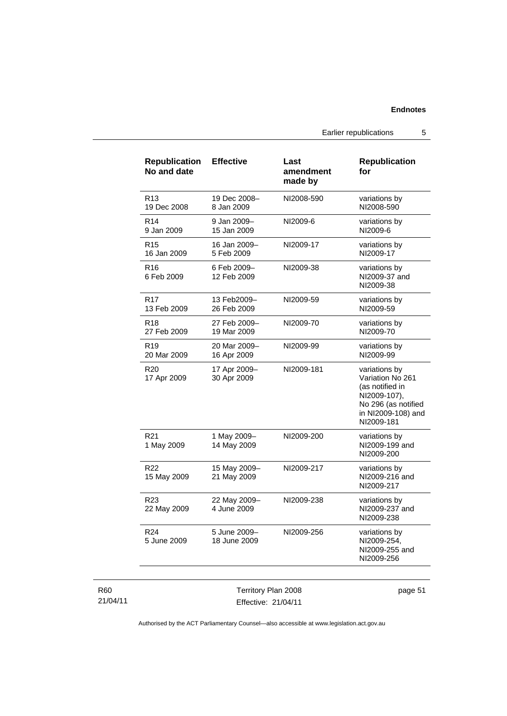Earlier republications 5

| <b>Republication</b><br>No and date | <b>Effective</b>             | Last<br>amendment<br>made by | <b>Republication</b><br>for                                                                                                     |
|-------------------------------------|------------------------------|------------------------------|---------------------------------------------------------------------------------------------------------------------------------|
| R13<br>19 Dec 2008                  | 19 Dec 2008-<br>8 Jan 2009   | NI2008-590                   | variations by<br>NI2008-590                                                                                                     |
| R <sub>14</sub><br>9 Jan 2009       | 9 Jan 2009-<br>15 Jan 2009   | NI2009-6                     | variations by<br>NI2009-6                                                                                                       |
| R <sub>15</sub><br>16 Jan 2009      | 16 Jan 2009-<br>5 Feb 2009   | NI2009-17                    | variations by<br>NI2009-17                                                                                                      |
| R <sub>16</sub><br>6 Feb 2009       | 6 Feb 2009-<br>12 Feb 2009   | NI2009-38                    | variations by<br>NI2009-37 and<br>NI2009-38                                                                                     |
| R <sub>17</sub><br>13 Feb 2009      | 13 Feb2009-<br>26 Feb 2009   | NI2009-59                    | variations by<br>NI2009-59                                                                                                      |
| R18<br>27 Feb 2009                  | 27 Feb 2009-<br>19 Mar 2009  | NI2009-70                    | variations by<br>NI2009-70                                                                                                      |
| R <sub>19</sub><br>20 Mar 2009      | 20 Mar 2009-<br>16 Apr 2009  | NI2009-99                    | variations by<br>NI2009-99                                                                                                      |
| R20<br>17 Apr 2009                  | 17 Apr 2009-<br>30 Apr 2009  | NI2009-181                   | variations by<br>Variation No 261<br>(as notified in<br>NI2009-107),<br>No 296 (as notified<br>in NI2009-108) and<br>NI2009-181 |
| R <sub>21</sub><br>1 May 2009       | 1 May 2009-<br>14 May 2009   | NI2009-200                   | variations by<br>NI2009-199 and<br>NI2009-200                                                                                   |
| R <sub>22</sub><br>15 May 2009      | 15 May 2009-<br>21 May 2009  | NI2009-217                   | variations by<br>NI2009-216 and<br>NI2009-217                                                                                   |
| R <sub>23</sub><br>22 May 2009      | 22 May 2009-<br>4 June 2009  | NI2009-238                   | variations by<br>NI2009-237 and<br>NI2009-238                                                                                   |
| R <sub>24</sub><br>5 June 2009      | 5 June 2009-<br>18 June 2009 | NI2009-256                   | variations by<br>NI2009-254,<br>NI2009-255 and<br>NI2009-256                                                                    |

### R60 21/04/11

Territory Plan 2008 Effective: 21/04/11 page 51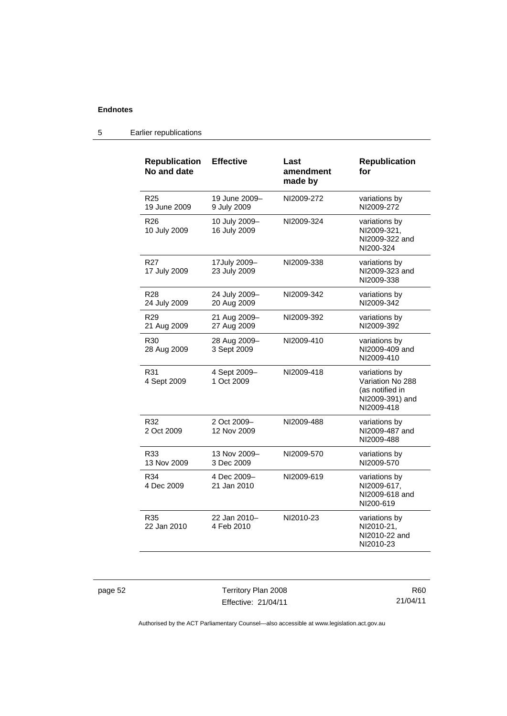## 5 Earlier republications

| <b>Republication</b><br>No and date | <b>Effective</b>              | Last<br>amendment<br>made by | <b>Republication</b><br>for                                                           |
|-------------------------------------|-------------------------------|------------------------------|---------------------------------------------------------------------------------------|
| R <sub>25</sub><br>19 June 2009     | 19 June 2009-<br>9 July 2009  | NI2009-272                   | variations by<br>NI2009-272                                                           |
| R <sub>26</sub><br>10 July 2009     | 10 July 2009-<br>16 July 2009 | NI2009-324                   | variations by<br>NI2009-321,<br>NI2009-322 and<br>NI200-324                           |
| R27<br>17 July 2009                 | 17July 2009-<br>23 July 2009  | NI2009-338                   | variations by<br>NI2009-323 and<br>NI2009-338                                         |
| R <sub>28</sub><br>24 July 2009     | 24 July 2009-<br>20 Aug 2009  | NI2009-342                   | variations by<br>NI2009-342                                                           |
| R <sub>29</sub><br>21 Aug 2009      | 21 Aug 2009-<br>27 Aug 2009   | NI2009-392                   | variations by<br>NI2009-392                                                           |
| R <sub>30</sub><br>28 Aug 2009      | 28 Aug 2009-<br>3 Sept 2009   | NI2009-410                   | variations by<br>NI2009-409 and<br>NI2009-410                                         |
| R31<br>4 Sept 2009                  | 4 Sept 2009-<br>1 Oct 2009    | NI2009-418                   | variations by<br>Variation No 288<br>(as notified in<br>NI2009-391) and<br>NI2009-418 |
| R32<br>2 Oct 2009                   | 2 Oct 2009-<br>12 Nov 2009    | NI2009-488                   | variations by<br>NI2009-487 and<br>NI2009-488                                         |
| R33<br>13 Nov 2009                  | 13 Nov 2009-<br>3 Dec 2009    | NI2009-570                   | variations by<br>NI2009-570                                                           |
| R34<br>4 Dec 2009                   | 4 Dec 2009-<br>21 Jan 2010    | NI2009-619                   | variations by<br>NI2009-617,<br>NI2009-618 and<br>NI200-619                           |
| R35<br>22 Jan 2010                  | 22 Jan 2010-<br>4 Feb 2010    | NI2010-23                    | variations by<br>NI2010-21,<br>NI2010-22 and<br>NI2010-23                             |

page 52 Territory Plan 2008 Effective: 21/04/11

R60 21/04/11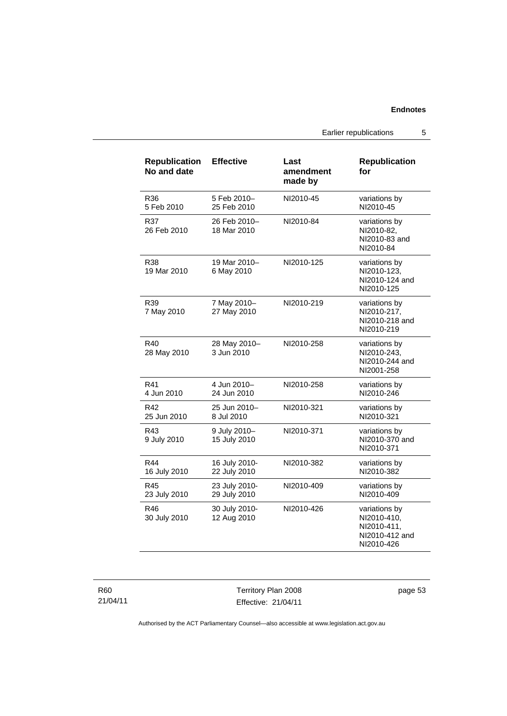Earlier republications 5

| <b>Republication</b><br>No and date | <b>Effective</b>              | Last<br>amendment<br>made by | <b>Republication</b><br>for                                                 |
|-------------------------------------|-------------------------------|------------------------------|-----------------------------------------------------------------------------|
| R36<br>5 Feb 2010                   | 5 Feb 2010-<br>25 Feb 2010    | NI2010-45                    | variations by<br>NI2010-45                                                  |
| R37<br>26 Feb 2010                  | 26 Feb 2010-<br>18 Mar 2010   | NI2010-84                    | variations by<br>NI2010-82,<br>NI2010-83 and<br>NI2010-84                   |
| R38<br>19 Mar 2010                  | 19 Mar 2010-<br>6 May 2010    | NI2010-125                   | variations by<br>NI2010-123,<br>NI2010-124 and<br>NI2010-125                |
| R39<br>7 May 2010                   | 7 May 2010-<br>27 May 2010    | NI2010-219                   | variations by<br>NI2010-217,<br>NI2010-218 and<br>NI2010-219                |
| R40<br>28 May 2010                  | 28 May 2010-<br>3 Jun 2010    | NI2010-258                   | variations by<br>NI2010-243,<br>NI2010-244 and<br>NI2001-258                |
| R41<br>4 Jun 2010                   | 4 Jun 2010-<br>24 Jun 2010    | NI2010-258                   | variations by<br>NI2010-246                                                 |
| R42<br>25 Jun 2010                  | 25 Jun 2010-<br>8 Jul 2010    | NI2010-321                   | variations by<br>NI2010-321                                                 |
| R43<br>9 July 2010                  | 9 July 2010-<br>15 July 2010  | NI2010-371                   | variations by<br>NI2010-370 and<br>NI2010-371                               |
| R44<br>16 July 2010                 | 16 July 2010-<br>22 July 2010 | NI2010-382                   | variations by<br>NI2010-382                                                 |
| R45<br>23 July 2010                 | 23 July 2010-<br>29 July 2010 | NI2010-409                   | variations by<br>NI2010-409                                                 |
| R46<br>30 July 2010                 | 30 July 2010-<br>12 Aug 2010  | NI2010-426                   | variations by<br>NI2010-410,<br>NI2010-411,<br>NI2010-412 and<br>NI2010-426 |

R60 21/04/11

Territory Plan 2008 Effective: 21/04/11 page 53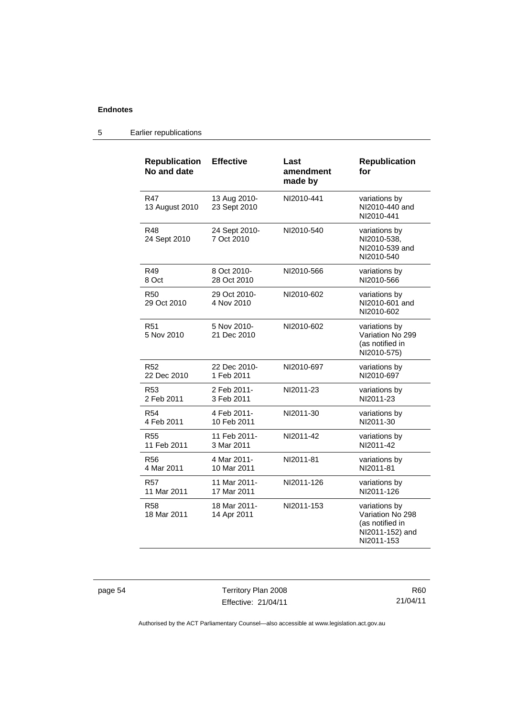## 5 Earlier republications

| <b>Republication</b><br>No and date | <b>Effective</b>             | Last<br>amendment<br>made by | <b>Republication</b><br>for                                                           |
|-------------------------------------|------------------------------|------------------------------|---------------------------------------------------------------------------------------|
| R47<br>13 August 2010               | 13 Aug 2010-<br>23 Sept 2010 | NI2010-441                   | variations by<br>NI2010-440 and<br>NI2010-441                                         |
| R48<br>24 Sept 2010                 | 24 Sept 2010-<br>7 Oct 2010  | NI2010-540                   | variations by<br>NI2010-538,<br>NI2010-539 and<br>NI2010-540                          |
| R49                                 | 8 Oct 2010-                  | NI2010-566                   | variations by                                                                         |
| 8 Oct                               | 28 Oct 2010                  |                              | NI2010-566                                                                            |
| <b>R50</b><br>29 Oct 2010           | 29 Oct 2010-<br>4 Nov 2010   | NI2010-602                   | variations by<br>NI2010-601 and<br>NI2010-602                                         |
| R <sub>51</sub><br>5 Nov 2010       | 5 Nov 2010-<br>21 Dec 2010   | NI2010-602                   | variations by<br>Variation No 299<br>(as notified in<br>NI2010-575)                   |
| R <sub>52</sub>                     | 22 Dec 2010-                 | NI2010-697                   | variations by                                                                         |
| 22 Dec 2010                         | 1 Feb 2011                   |                              | NI2010-697                                                                            |
| R <sub>53</sub>                     | 2 Feb 2011-                  | NI2011-23                    | variations by                                                                         |
| 2 Feb 2011                          | 3 Feb 2011                   |                              | NI2011-23                                                                             |
| <b>R54</b>                          | 4 Feb 2011-                  | NI2011-30                    | variations by                                                                         |
| 4 Feb 2011                          | 10 Feb 2011                  |                              | NI2011-30                                                                             |
| R55                                 | 11 Feb 2011-                 | NI2011-42                    | variations by                                                                         |
| 11 Feb 2011                         | 3 Mar 2011                   |                              | NI2011-42                                                                             |
| <b>R56</b>                          | 4 Mar 2011-                  | NI2011-81                    | variations by                                                                         |
| 4 Mar 2011                          | 10 Mar 2011                  |                              | NI2011-81                                                                             |
| R57                                 | 11 Mar 2011-                 | NI2011-126                   | variations by                                                                         |
| 11 Mar 2011                         | 17 Mar 2011                  |                              | NI2011-126                                                                            |
| R58<br>18 Mar 2011                  | 18 Mar 2011-<br>14 Apr 2011  | NI2011-153                   | variations by<br>Variation No 298<br>(as notified in<br>NI2011-152) and<br>NI2011-153 |

page 54 Territory Plan 2008 Effective: 21/04/11

R60 21/04/11